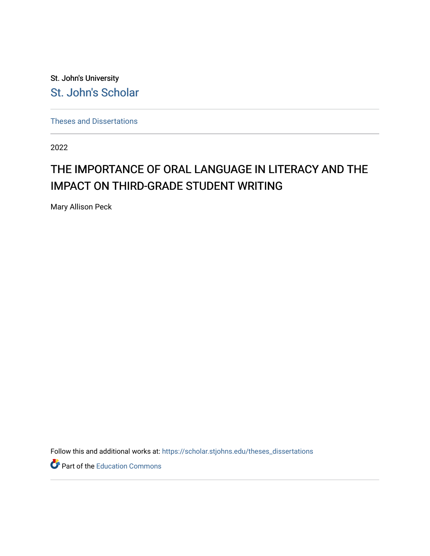St. John's University [St. John's Scholar](https://scholar.stjohns.edu/) 

[Theses and Dissertations](https://scholar.stjohns.edu/theses_dissertations)

2022

# THE IMPORTANCE OF ORAL LANGUAGE IN LITERACY AND THE IMPACT ON THIRD-GRADE STUDENT WRITING

Mary Allison Peck

Follow this and additional works at: [https://scholar.stjohns.edu/theses\\_dissertations](https://scholar.stjohns.edu/theses_dissertations?utm_source=scholar.stjohns.edu%2Ftheses_dissertations%2F355&utm_medium=PDF&utm_campaign=PDFCoverPages)

Part of the [Education Commons](http://network.bepress.com/hgg/discipline/784?utm_source=scholar.stjohns.edu%2Ftheses_dissertations%2F355&utm_medium=PDF&utm_campaign=PDFCoverPages)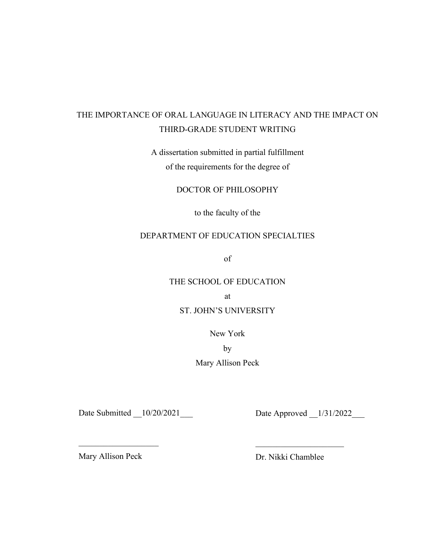# THE IMPORTANCE OF ORAL LANGUAGE IN LITERACY AND THE IMPACT ON THIRD-GRADE STUDENT WRITING

A dissertation submitted in partial fulfillment of the requirements for the degree of

DOCTOR OF PHILOSOPHY

to the faculty of the

# DEPARTMENT OF EDUCATION SPECIALTIES

of

# THE SCHOOL OF EDUCATION

at

# ST. JOHN'S UNIVERSITY

New York

by

Mary Allison Peck

 $\overline{\phantom{a}}$  , and the contract of the contract of the contract of the contract of the contract of the contract of the contract of the contract of the contract of the contract of the contract of the contract of the contrac

Date Submitted \_\_10/20/2021\_\_\_ Date Approved \_\_1/31/2022\_\_\_

Mary Allison Peck Dr. Nikki Chamblee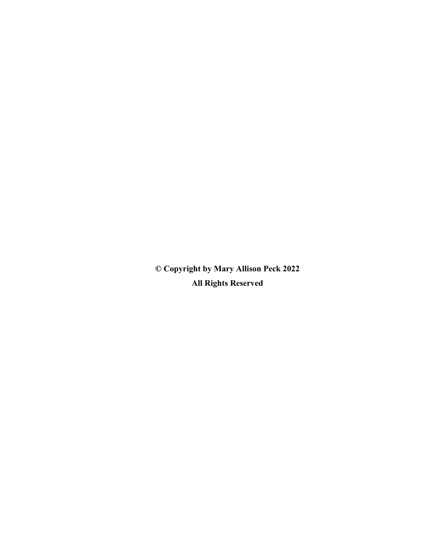**© Copyright by Mary Allison Peck 2022 All Rights Reserved**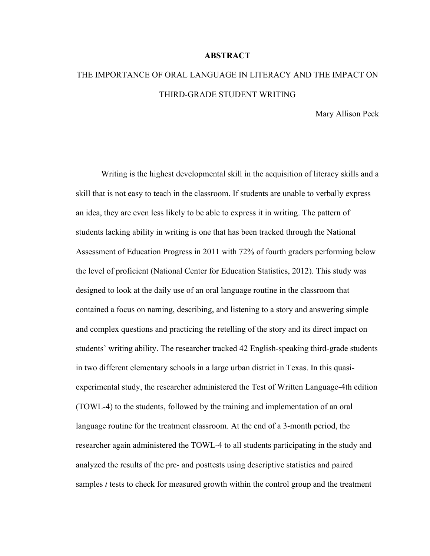#### **ABSTRACT**

# THE IMPORTANCE OF ORAL LANGUAGE IN LITERACY AND THE IMPACT ON THIRD-GRADE STUDENT WRITING

Mary Allison Peck

Writing is the highest developmental skill in the acquisition of literacy skills and a skill that is not easy to teach in the classroom. If students are unable to verbally express an idea, they are even less likely to be able to express it in writing. The pattern of students lacking ability in writing is one that has been tracked through the National Assessment of Education Progress in 2011 with 72% of fourth graders performing below the level of proficient (National Center for Education Statistics, 2012). This study was designed to look at the daily use of an oral language routine in the classroom that contained a focus on naming, describing, and listening to a story and answering simple and complex questions and practicing the retelling of the story and its direct impact on students' writing ability. The researcher tracked 42 English-speaking third-grade students in two different elementary schools in a large urban district in Texas. In this quasiexperimental study, the researcher administered the Test of Written Language-4th edition (TOWL-4) to the students, followed by the training and implementation of an oral language routine for the treatment classroom. At the end of a 3-month period, the researcher again administered the TOWL-4 to all students participating in the study and analyzed the results of the pre- and posttests using descriptive statistics and paired samples *t* tests to check for measured growth within the control group and the treatment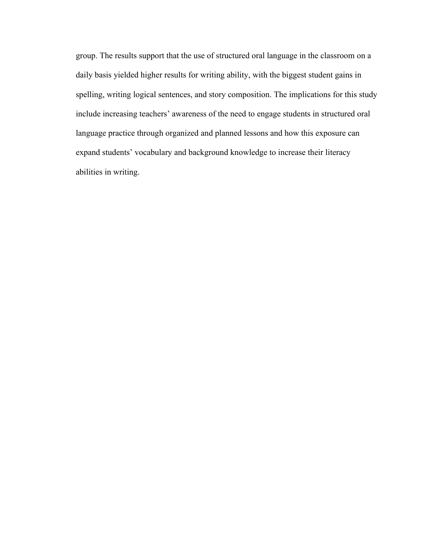group. The results support that the use of structured oral language in the classroom on a daily basis yielded higher results for writing ability, with the biggest student gains in spelling, writing logical sentences, and story composition. The implications for this study include increasing teachers' awareness of the need to engage students in structured oral language practice through organized and planned lessons and how this exposure can expand students' vocabulary and background knowledge to increase their literacy abilities in writing.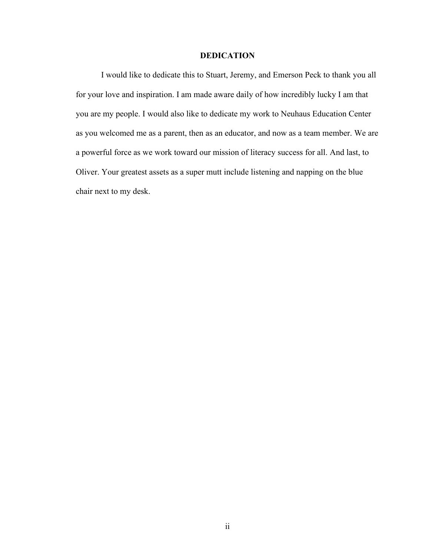# **DEDICATION**

<span id="page-5-0"></span>I would like to dedicate this to Stuart, Jeremy, and Emerson Peck to thank you all for your love and inspiration. I am made aware daily of how incredibly lucky I am that you are my people. I would also like to dedicate my work to Neuhaus Education Center as you welcomed me as a parent, then as an educator, and now as a team member. We are a powerful force as we work toward our mission of literacy success for all. And last, to Oliver. Your greatest assets as a super mutt include listening and napping on the blue chair next to my desk.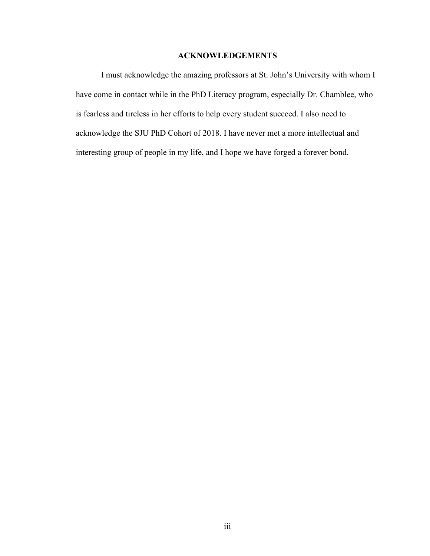# **ACKNOWLEDGEMENTS**

<span id="page-6-0"></span>I must acknowledge the amazing professors at St. John's University with whom I have come in contact while in the PhD Literacy program, especially Dr. Chamblee, who is fearless and tireless in her efforts to help every student succeed. I also need to acknowledge the SJU PhD Cohort of 2018. I have never met a more intellectual and interesting group of people in my life, and I hope we have forged a forever bond.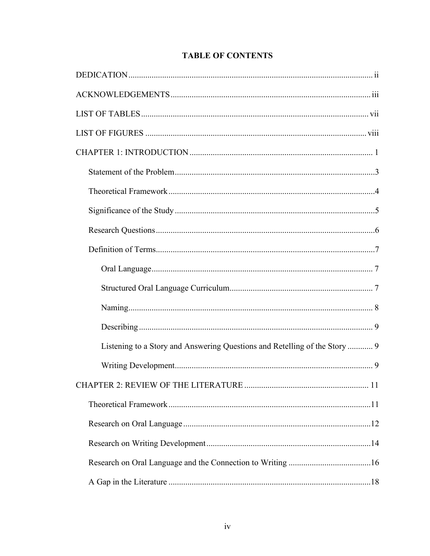| Listening to a Story and Answering Questions and Retelling of the Story  9 |
|----------------------------------------------------------------------------|
|                                                                            |
|                                                                            |
|                                                                            |
|                                                                            |
|                                                                            |
|                                                                            |

# **TABLE OF CONTENTS**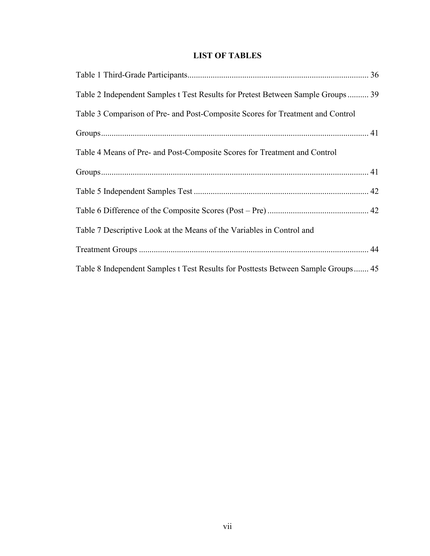# **LIST OF TABLES**

<span id="page-10-0"></span>

| Table 2 Independent Samples t Test Results for Pretest Between Sample Groups 39   |
|-----------------------------------------------------------------------------------|
| Table 3 Comparison of Pre- and Post-Composite Scores for Treatment and Control    |
|                                                                                   |
| Table 4 Means of Pre- and Post-Composite Scores for Treatment and Control         |
|                                                                                   |
|                                                                                   |
|                                                                                   |
| Table 7 Descriptive Look at the Means of the Variables in Control and             |
|                                                                                   |
| Table 8 Independent Samples t Test Results for Posttests Between Sample Groups 45 |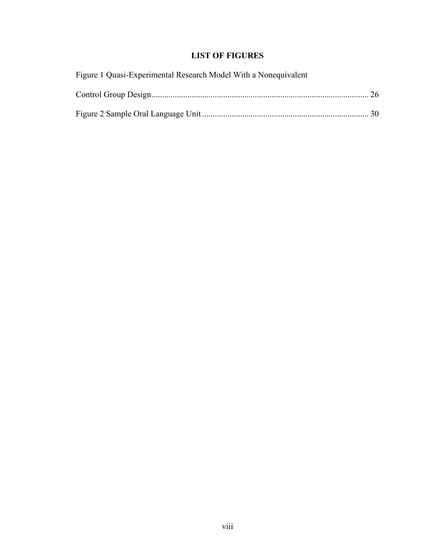# **LIST OF FIGURES**

<span id="page-11-0"></span>

| Figure 1 Quasi-Experimental Research Model With a Nonequivalent |  |
|-----------------------------------------------------------------|--|
|                                                                 |  |
|                                                                 |  |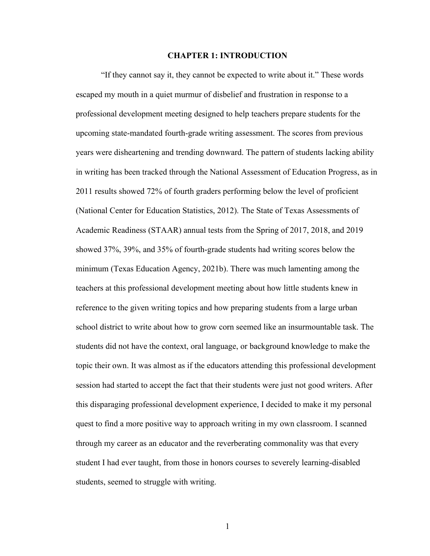## **CHAPTER 1: INTRODUCTION**

<span id="page-12-0"></span>"If they cannot say it, they cannot be expected to write about it." These words escaped my mouth in a quiet murmur of disbelief and frustration in response to a professional development meeting designed to help teachers prepare students for the upcoming state-mandated fourth-grade writing assessment. The scores from previous years were disheartening and trending downward. The pattern of students lacking ability in writing has been tracked through the National Assessment of Education Progress, as in 2011 results showed 72% of fourth graders performing below the level of proficient (National Center for Education Statistics, 2012). The State of Texas Assessments of Academic Readiness (STAAR) annual tests from the Spring of 2017, 2018, and 2019 showed 37%, 39%, and 35% of fourth-grade students had writing scores below the minimum (Texas Education Agency, 2021b). There was much lamenting among the teachers at this professional development meeting about how little students knew in reference to the given writing topics and how preparing students from a large urban school district to write about how to grow corn seemed like an insurmountable task. The students did not have the context, oral language, or background knowledge to make the topic their own. It was almost as if the educators attending this professional development session had started to accept the fact that their students were just not good writers. After this disparaging professional development experience, I decided to make it my personal quest to find a more positive way to approach writing in my own classroom. I scanned through my career as an educator and the reverberating commonality was that every student I had ever taught, from those in honors courses to severely learning-disabled students, seemed to struggle with writing.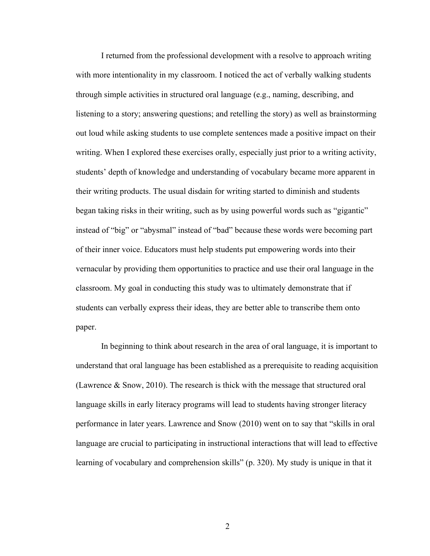I returned from the professional development with a resolve to approach writing with more intentionality in my classroom. I noticed the act of verbally walking students through simple activities in structured oral language (e.g., naming, describing, and listening to a story; answering questions; and retelling the story) as well as brainstorming out loud while asking students to use complete sentences made a positive impact on their writing. When I explored these exercises orally, especially just prior to a writing activity, students' depth of knowledge and understanding of vocabulary became more apparent in their writing products. The usual disdain for writing started to diminish and students began taking risks in their writing, such as by using powerful words such as "gigantic" instead of "big" or "abysmal" instead of "bad" because these words were becoming part of their inner voice. Educators must help students put empowering words into their vernacular by providing them opportunities to practice and use their oral language in the classroom. My goal in conducting this study was to ultimately demonstrate that if students can verbally express their ideas, they are better able to transcribe them onto paper.

In beginning to think about research in the area of oral language, it is important to understand that oral language has been established as a prerequisite to reading acquisition (Lawrence & Snow, 2010). The research is thick with the message that structured oral language skills in early literacy programs will lead to students having stronger literacy performance in later years. Lawrence and Snow (2010) went on to say that "skills in oral language are crucial to participating in instructional interactions that will lead to effective learning of vocabulary and comprehension skills" (p. 320). My study is unique in that it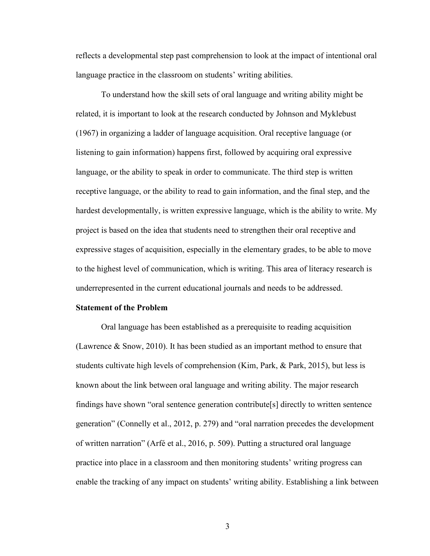reflects a developmental step past comprehension to look at the impact of intentional oral language practice in the classroom on students' writing abilities.

To understand how the skill sets of oral language and writing ability might be related, it is important to look at the research conducted by Johnson and Myklebust (1967) in organizing a ladder of language acquisition. Oral receptive language (or listening to gain information) happens first, followed by acquiring oral expressive language, or the ability to speak in order to communicate. The third step is written receptive language, or the ability to read to gain information, and the final step, and the hardest developmentally, is written expressive language, which is the ability to write. My project is based on the idea that students need to strengthen their oral receptive and expressive stages of acquisition, especially in the elementary grades, to be able to move to the highest level of communication, which is writing. This area of literacy research is underrepresented in the current educational journals and needs to be addressed.

#### <span id="page-14-0"></span>**Statement of the Problem**

Oral language has been established as a prerequisite to reading acquisition (Lawrence & Snow, 2010). It has been studied as an important method to ensure that students cultivate high levels of comprehension (Kim, Park, & Park, 2015), but less is known about the link between oral language and writing ability. The major research findings have shown "oral sentence generation contribute[s] directly to written sentence generation" (Connelly et al., 2012, p. 279) and "oral narration precedes the development of written narration" (Arfé et al., 2016, p. 509). Putting a structured oral language practice into place in a classroom and then monitoring students' writing progress can enable the tracking of any impact on students' writing ability. Establishing a link between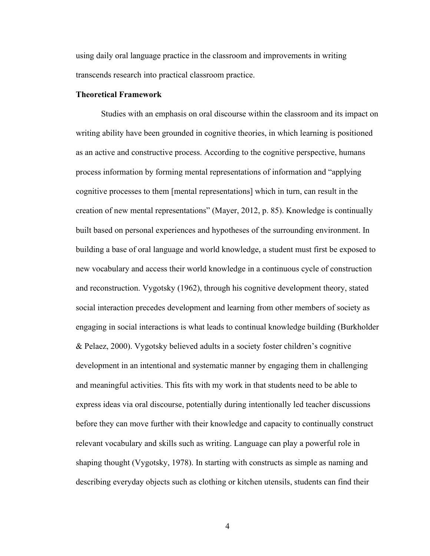using daily oral language practice in the classroom and improvements in writing transcends research into practical classroom practice.

## <span id="page-15-0"></span>**Theoretical Framework**

Studies with an emphasis on oral discourse within the classroom and its impact on writing ability have been grounded in cognitive theories, in which learning is positioned as an active and constructive process. According to the cognitive perspective, humans process information by forming mental representations of information and "applying cognitive processes to them [mental representations] which in turn, can result in the creation of new mental representations" (Mayer, 2012, p. 85). Knowledge is continually built based on personal experiences and hypotheses of the surrounding environment. In building a base of oral language and world knowledge, a student must first be exposed to new vocabulary and access their world knowledge in a continuous cycle of construction and reconstruction. Vygotsky (1962), through his cognitive development theory, stated social interaction precedes development and learning from other members of society as engaging in social interactions is what leads to continual knowledge building (Burkholder & Pelaez, 2000). Vygotsky believed adults in a society foster children's cognitive development in an intentional and systematic manner by engaging them in challenging and meaningful activities. This fits with my work in that students need to be able to express ideas via oral discourse, potentially during intentionally led teacher discussions before they can move further with their knowledge and capacity to continually construct relevant vocabulary and skills such as writing. Language can play a powerful role in shaping thought (Vygotsky, 1978). In starting with constructs as simple as naming and describing everyday objects such as clothing or kitchen utensils, students can find their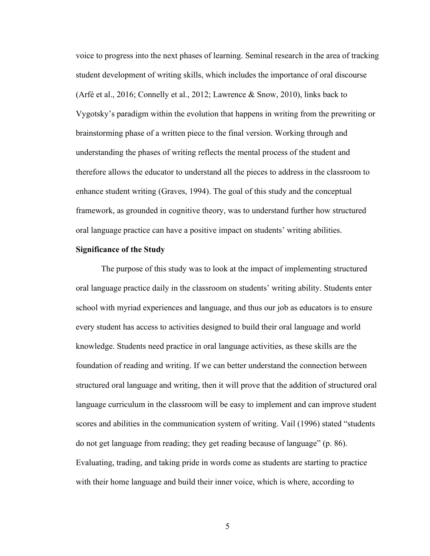voice to progress into the next phases of learning. Seminal research in the area of tracking student development of writing skills, which includes the importance of oral discourse (Arfé et al., 2016; Connelly et al., 2012; Lawrence & Snow, 2010), links back to Vygotsky's paradigm within the evolution that happens in writing from the prewriting or brainstorming phase of a written piece to the final version. Working through and understanding the phases of writing reflects the mental process of the student and therefore allows the educator to understand all the pieces to address in the classroom to enhance student writing (Graves, 1994). The goal of this study and the conceptual framework, as grounded in cognitive theory, was to understand further how structured oral language practice can have a positive impact on students' writing abilities.

#### <span id="page-16-0"></span>**Significance of the Study**

The purpose of this study was to look at the impact of implementing structured oral language practice daily in the classroom on students' writing ability. Students enter school with myriad experiences and language, and thus our job as educators is to ensure every student has access to activities designed to build their oral language and world knowledge. Students need practice in oral language activities, as these skills are the foundation of reading and writing. If we can better understand the connection between structured oral language and writing, then it will prove that the addition of structured oral language curriculum in the classroom will be easy to implement and can improve student scores and abilities in the communication system of writing. Vail (1996) stated "students do not get language from reading; they get reading because of language" (p. 86). Evaluating, trading, and taking pride in words come as students are starting to practice with their home language and build their inner voice, which is where, according to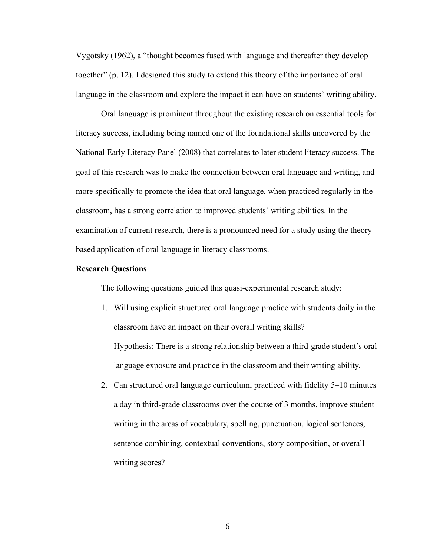Vygotsky (1962), a "thought becomes fused with language and thereafter they develop together" (p. 12). I designed this study to extend this theory of the importance of oral language in the classroom and explore the impact it can have on students' writing ability.

Oral language is prominent throughout the existing research on essential tools for literacy success, including being named one of the foundational skills uncovered by the National Early Literacy Panel (2008) that correlates to later student literacy success. The goal of this research was to make the connection between oral language and writing, and more specifically to promote the idea that oral language, when practiced regularly in the classroom, has a strong correlation to improved students' writing abilities. In the examination of current research, there is a pronounced need for a study using the theorybased application of oral language in literacy classrooms.

#### <span id="page-17-0"></span>**Research Questions**

The following questions guided this quasi-experimental research study:

- 1. Will using explicit structured oral language practice with students daily in the classroom have an impact on their overall writing skills? Hypothesis: There is a strong relationship between a third-grade student's oral language exposure and practice in the classroom and their writing ability.
- 2. Can structured oral language curriculum, practiced with fidelity 5–10 minutes a day in third-grade classrooms over the course of 3 months, improve student writing in the areas of vocabulary, spelling, punctuation, logical sentences, sentence combining, contextual conventions, story composition, or overall writing scores?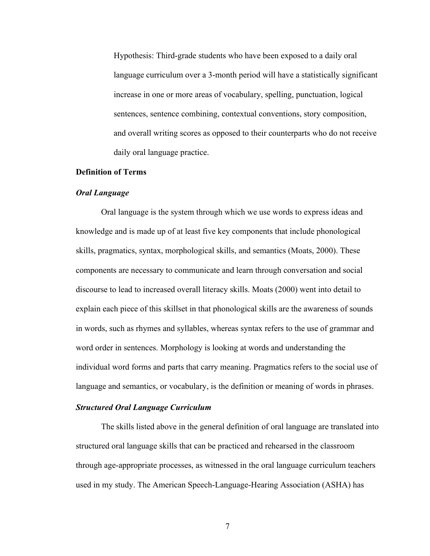Hypothesis: Third-grade students who have been exposed to a daily oral language curriculum over a 3-month period will have a statistically significant increase in one or more areas of vocabulary, spelling, punctuation, logical sentences, sentence combining, contextual conventions, story composition, and overall writing scores as opposed to their counterparts who do not receive daily oral language practice.

#### <span id="page-18-0"></span>**Definition of Terms**

# <span id="page-18-1"></span>*Oral Language*

Oral language is the system through which we use words to express ideas and knowledge and is made up of at least five key components that include phonological skills, pragmatics, syntax, morphological skills, and semantics (Moats, 2000). These components are necessary to communicate and learn through conversation and social discourse to lead to increased overall literacy skills. Moats (2000) went into detail to explain each piece of this skillset in that phonological skills are the awareness of sounds in words, such as rhymes and syllables, whereas syntax refers to the use of grammar and word order in sentences. Morphology is looking at words and understanding the individual word forms and parts that carry meaning. Pragmatics refers to the social use of language and semantics, or vocabulary, is the definition or meaning of words in phrases.

## <span id="page-18-2"></span>*Structured Oral Language Curriculum*

The skills listed above in the general definition of oral language are translated into structured oral language skills that can be practiced and rehearsed in the classroom through age-appropriate processes, as witnessed in the oral language curriculum teachers used in my study. The American Speech-Language-Hearing Association (ASHA) has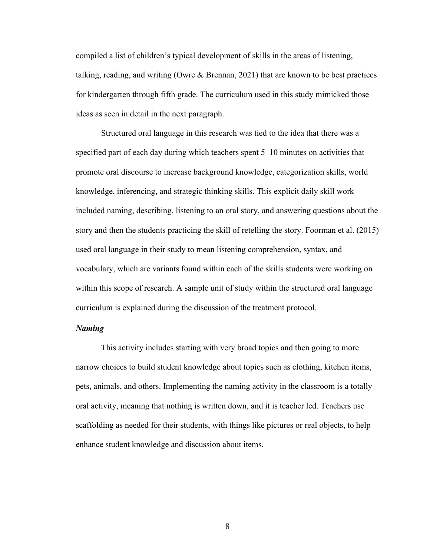compiled a list of children's typical development of skills in the areas of listening, talking, reading, and writing (Owre & Brennan, 2021) that are known to be best practices for kindergarten through fifth grade. The curriculum used in this study mimicked those ideas as seen in detail in the next paragraph.

Structured oral language in this research was tied to the idea that there was a specified part of each day during which teachers spent 5–10 minutes on activities that promote oral discourse to increase background knowledge, categorization skills, world knowledge, inferencing, and strategic thinking skills. This explicit daily skill work included naming, describing, listening to an oral story, and answering questions about the story and then the students practicing the skill of retelling the story. Foorman et al. (2015) used oral language in their study to mean listening comprehension, syntax, and vocabulary, which are variants found within each of the skills students were working on within this scope of research. A sample unit of study within the structured oral language curriculum is explained during the discussion of the treatment protocol.

# <span id="page-19-0"></span>*Naming*

This activity includes starting with very broad topics and then going to more narrow choices to build student knowledge about topics such as clothing, kitchen items, pets, animals, and others. Implementing the naming activity in the classroom is a totally oral activity, meaning that nothing is written down, and it is teacher led. Teachers use scaffolding as needed for their students, with things like pictures or real objects, to help enhance student knowledge and discussion about items.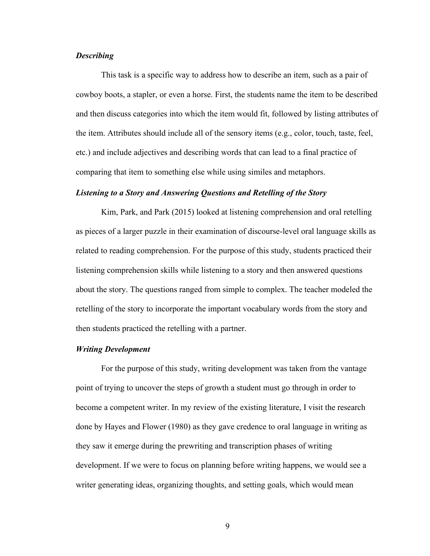# <span id="page-20-0"></span>*Describing*

This task is a specific way to address how to describe an item, such as a pair of cowboy boots, a stapler, or even a horse. First, the students name the item to be described and then discuss categories into which the item would fit, followed by listing attributes of the item. Attributes should include all of the sensory items (e.g., color, touch, taste, feel, etc.) and include adjectives and describing words that can lead to a final practice of comparing that item to something else while using similes and metaphors.

# <span id="page-20-1"></span>*Listening to a Story and Answering Questions and Retelling of the Story*

Kim, Park, and Park (2015) looked at listening comprehension and oral retelling as pieces of a larger puzzle in their examination of discourse-level oral language skills as related to reading comprehension. For the purpose of this study, students practiced their listening comprehension skills while listening to a story and then answered questions about the story. The questions ranged from simple to complex. The teacher modeled the retelling of the story to incorporate the important vocabulary words from the story and then students practiced the retelling with a partner.

# <span id="page-20-2"></span>*Writing Development*

For the purpose of this study, writing development was taken from the vantage point of trying to uncover the steps of growth a student must go through in order to become a competent writer. In my review of the existing literature, I visit the research done by Hayes and Flower (1980) as they gave credence to oral language in writing as they saw it emerge during the prewriting and transcription phases of writing development. If we were to focus on planning before writing happens, we would see a writer generating ideas, organizing thoughts, and setting goals, which would mean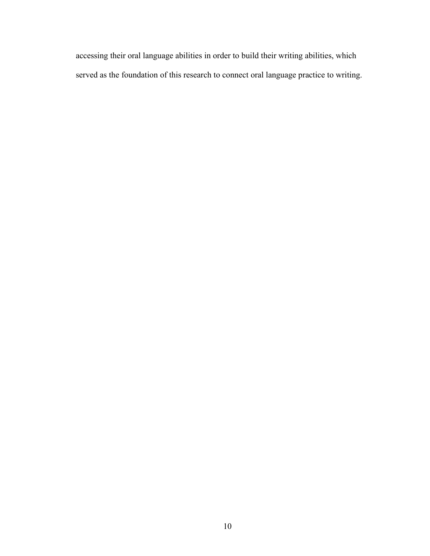accessing their oral language abilities in order to build their writing abilities, which served as the foundation of this research to connect oral language practice to writing.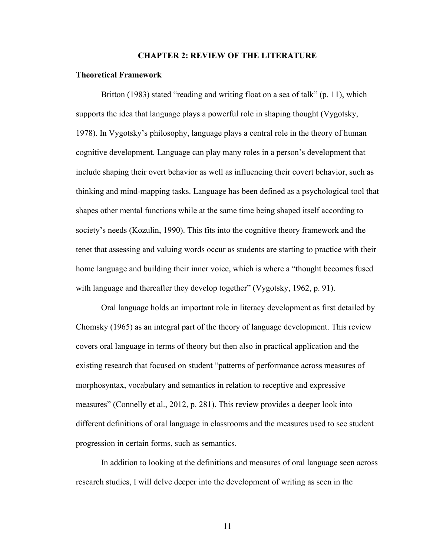#### **CHAPTER 2: REVIEW OF THE LITERATURE**

#### <span id="page-22-1"></span><span id="page-22-0"></span>**Theoretical Framework**

Britton (1983) stated "reading and writing float on a sea of talk" (p. 11), which supports the idea that language plays a powerful role in shaping thought (Vygotsky, 1978). In Vygotsky's philosophy, language plays a central role in the theory of human cognitive development. Language can play many roles in a person's development that include shaping their overt behavior as well as influencing their covert behavior, such as thinking and mind-mapping tasks. Language has been defined as a psychological tool that shapes other mental functions while at the same time being shaped itself according to society's needs (Kozulin, 1990). This fits into the cognitive theory framework and the tenet that assessing and valuing words occur as students are starting to practice with their home language and building their inner voice, which is where a "thought becomes fused with language and thereafter they develop together" (Vygotsky, 1962, p. 91).

Oral language holds an important role in literacy development as first detailed by Chomsky (1965) as an integral part of the theory of language development. This review covers oral language in terms of theory but then also in practical application and the existing research that focused on student "patterns of performance across measures of morphosyntax, vocabulary and semantics in relation to receptive and expressive measures" (Connelly et al., 2012, p. 281). This review provides a deeper look into different definitions of oral language in classrooms and the measures used to see student progression in certain forms, such as semantics.

In addition to looking at the definitions and measures of oral language seen across research studies, I will delve deeper into the development of writing as seen in the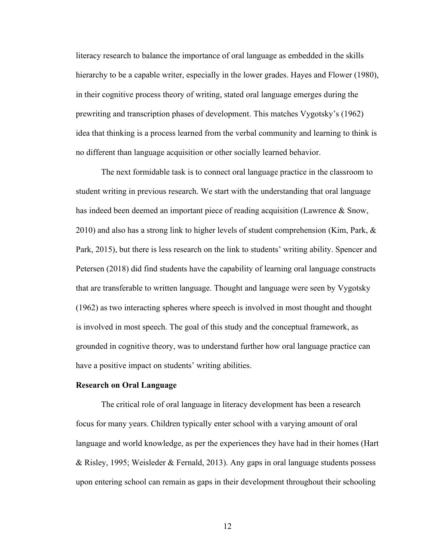literacy research to balance the importance of oral language as embedded in the skills hierarchy to be a capable writer, especially in the lower grades. Hayes and Flower (1980), in their cognitive process theory of writing, stated oral language emerges during the prewriting and transcription phases of development. This matches Vygotsky's (1962) idea that thinking is a process learned from the verbal community and learning to think is no different than language acquisition or other socially learned behavior.

The next formidable task is to connect oral language practice in the classroom to student writing in previous research. We start with the understanding that oral language has indeed been deemed an important piece of reading acquisition (Lawrence & Snow, 2010) and also has a strong link to higher levels of student comprehension (Kim, Park,  $\&$ Park, 2015), but there is less research on the link to students' writing ability. Spencer and Petersen (2018) did find students have the capability of learning oral language constructs that are transferable to written language. Thought and language were seen by Vygotsky (1962) as two interacting spheres where speech is involved in most thought and thought is involved in most speech. The goal of this study and the conceptual framework, as grounded in cognitive theory, was to understand further how oral language practice can have a positive impact on students' writing abilities.

#### <span id="page-23-0"></span>**Research on Oral Language**

The critical role of oral language in literacy development has been a research focus for many years. Children typically enter school with a varying amount of oral language and world knowledge, as per the experiences they have had in their homes (Hart & Risley, 1995; Weisleder & Fernald, 2013). Any gaps in oral language students possess upon entering school can remain as gaps in their development throughout their schooling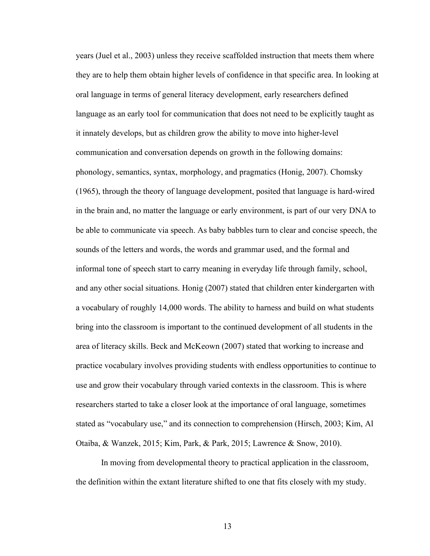years (Juel et al., 2003) unless they receive scaffolded instruction that meets them where they are to help them obtain higher levels of confidence in that specific area. In looking at oral language in terms of general literacy development, early researchers defined language as an early tool for communication that does not need to be explicitly taught as it innately develops, but as children grow the ability to move into higher-level communication and conversation depends on growth in the following domains: phonology, semantics, syntax, morphology, and pragmatics (Honig, 2007). Chomsky (1965), through the theory of language development, posited that language is hard-wired in the brain and, no matter the language or early environment, is part of our very DNA to be able to communicate via speech. As baby babbles turn to clear and concise speech, the sounds of the letters and words, the words and grammar used, and the formal and informal tone of speech start to carry meaning in everyday life through family, school, and any other social situations. Honig (2007) stated that children enter kindergarten with a vocabulary of roughly 14,000 words. The ability to harness and build on what students bring into the classroom is important to the continued development of all students in the area of literacy skills. Beck and McKeown (2007) stated that working to increase and practice vocabulary involves providing students with endless opportunities to continue to use and grow their vocabulary through varied contexts in the classroom. This is where researchers started to take a closer look at the importance of oral language, sometimes stated as "vocabulary use," and its connection to comprehension (Hirsch, 2003; Kim, Al Otaiba, & Wanzek, 2015; Kim, Park, & Park, 2015; Lawrence & Snow, 2010).

In moving from developmental theory to practical application in the classroom, the definition within the extant literature shifted to one that fits closely with my study.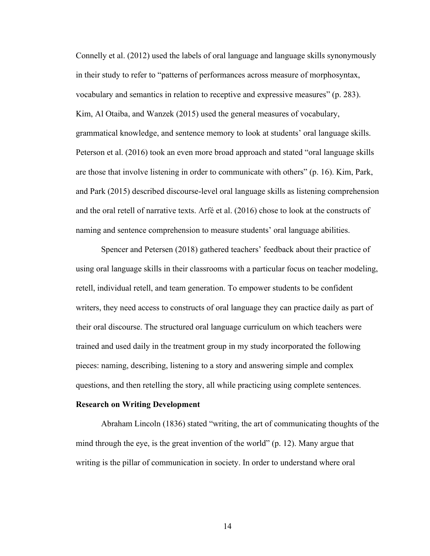Connelly et al. (2012) used the labels of oral language and language skills synonymously in their study to refer to "patterns of performances across measure of morphosyntax, vocabulary and semantics in relation to receptive and expressive measures" (p. 283). Kim, Al Otaiba, and Wanzek (2015) used the general measures of vocabulary, grammatical knowledge, and sentence memory to look at students' oral language skills. Peterson et al. (2016) took an even more broad approach and stated "oral language skills are those that involve listening in order to communicate with others" (p. 16). Kim, Park, and Park (2015) described discourse-level oral language skills as listening comprehension and the oral retell of narrative texts. Arfé et al. (2016) chose to look at the constructs of naming and sentence comprehension to measure students' oral language abilities.

Spencer and Petersen (2018) gathered teachers' feedback about their practice of using oral language skills in their classrooms with a particular focus on teacher modeling, retell, individual retell, and team generation. To empower students to be confident writers, they need access to constructs of oral language they can practice daily as part of their oral discourse. The structured oral language curriculum on which teachers were trained and used daily in the treatment group in my study incorporated the following pieces: naming, describing, listening to a story and answering simple and complex questions, and then retelling the story, all while practicing using complete sentences.

#### <span id="page-25-0"></span>**Research on Writing Development**

Abraham Lincoln (1836) stated "writing, the art of communicating thoughts of the mind through the eye, is the great invention of the world" (p. 12). Many argue that writing is the pillar of communication in society. In order to understand where oral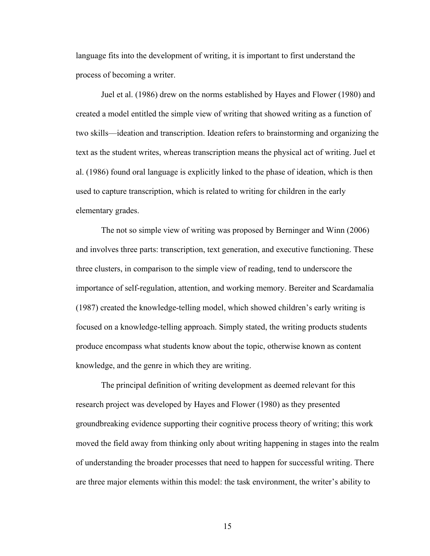language fits into the development of writing, it is important to first understand the process of becoming a writer.

Juel et al. (1986) drew on the norms established by Hayes and Flower (1980) and created a model entitled the simple view of writing that showed writing as a function of two skills––ideation and transcription. Ideation refers to brainstorming and organizing the text as the student writes, whereas transcription means the physical act of writing. Juel et al. (1986) found oral language is explicitly linked to the phase of ideation, which is then used to capture transcription, which is related to writing for children in the early elementary grades.

The not so simple view of writing was proposed by Berninger and Winn (2006) and involves three parts: transcription, text generation, and executive functioning. These three clusters, in comparison to the simple view of reading, tend to underscore the importance of self-regulation, attention, and working memory. Bereiter and Scardamalia (1987) created the knowledge-telling model, which showed children's early writing is focused on a knowledge-telling approach. Simply stated, the writing products students produce encompass what students know about the topic, otherwise known as content knowledge, and the genre in which they are writing.

The principal definition of writing development as deemed relevant for this research project was developed by Hayes and Flower (1980) as they presented groundbreaking evidence supporting their cognitive process theory of writing; this work moved the field away from thinking only about writing happening in stages into the realm of understanding the broader processes that need to happen for successful writing. There are three major elements within this model: the task environment, the writer's ability to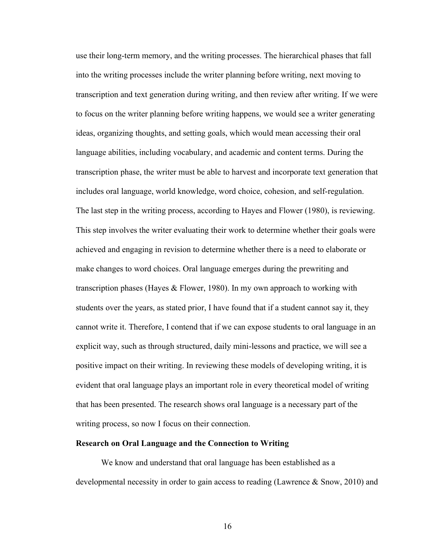use their long-term memory, and the writing processes. The hierarchical phases that fall into the writing processes include the writer planning before writing, next moving to transcription and text generation during writing, and then review after writing. If we were to focus on the writer planning before writing happens, we would see a writer generating ideas, organizing thoughts, and setting goals, which would mean accessing their oral language abilities, including vocabulary, and academic and content terms. During the transcription phase, the writer must be able to harvest and incorporate text generation that includes oral language, world knowledge, word choice, cohesion, and self-regulation. The last step in the writing process, according to Hayes and Flower (1980), is reviewing. This step involves the writer evaluating their work to determine whether their goals were achieved and engaging in revision to determine whether there is a need to elaborate or make changes to word choices. Oral language emerges during the prewriting and transcription phases (Hayes & Flower, 1980). In my own approach to working with students over the years, as stated prior, I have found that if a student cannot say it, they cannot write it. Therefore, I contend that if we can expose students to oral language in an explicit way, such as through structured, daily mini-lessons and practice, we will see a positive impact on their writing. In reviewing these models of developing writing, it is evident that oral language plays an important role in every theoretical model of writing that has been presented. The research shows oral language is a necessary part of the writing process, so now I focus on their connection.

#### <span id="page-27-0"></span>**Research on Oral Language and the Connection to Writing**

We know and understand that oral language has been established as a developmental necessity in order to gain access to reading (Lawrence & Snow, 2010) and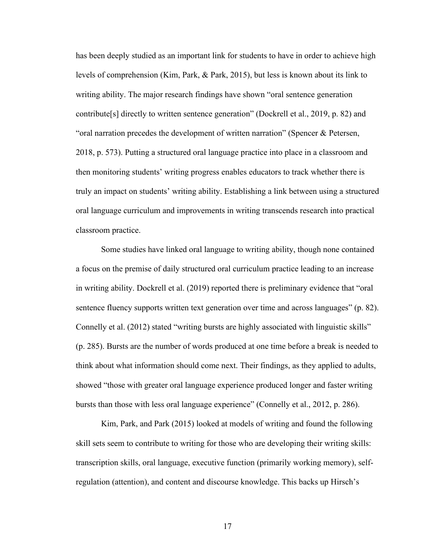has been deeply studied as an important link for students to have in order to achieve high levels of comprehension (Kim, Park, & Park, 2015), but less is known about its link to writing ability. The major research findings have shown "oral sentence generation contribute[s] directly to written sentence generation" (Dockrell et al., 2019, p. 82) and "oral narration precedes the development of written narration" (Spencer & Petersen, 2018, p. 573). Putting a structured oral language practice into place in a classroom and then monitoring students' writing progress enables educators to track whether there is truly an impact on students' writing ability. Establishing a link between using a structured oral language curriculum and improvements in writing transcends research into practical classroom practice.

Some studies have linked oral language to writing ability, though none contained a focus on the premise of daily structured oral curriculum practice leading to an increase in writing ability. Dockrell et al. (2019) reported there is preliminary evidence that "oral sentence fluency supports written text generation over time and across languages" (p. 82). Connelly et al. (2012) stated "writing bursts are highly associated with linguistic skills" (p. 285). Bursts are the number of words produced at one time before a break is needed to think about what information should come next. Their findings, as they applied to adults, showed "those with greater oral language experience produced longer and faster writing bursts than those with less oral language experience" (Connelly et al., 2012, p. 286).

Kim, Park, and Park (2015) looked at models of writing and found the following skill sets seem to contribute to writing for those who are developing their writing skills: transcription skills, oral language, executive function (primarily working memory), selfregulation (attention), and content and discourse knowledge. This backs up Hirsch's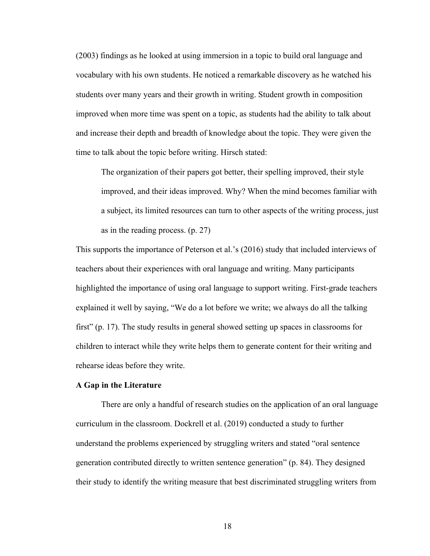(2003) findings as he looked at using immersion in a topic to build oral language and vocabulary with his own students. He noticed a remarkable discovery as he watched his students over many years and their growth in writing. Student growth in composition improved when more time was spent on a topic, as students had the ability to talk about and increase their depth and breadth of knowledge about the topic. They were given the time to talk about the topic before writing. Hirsch stated:

The organization of their papers got better, their spelling improved, their style improved, and their ideas improved. Why? When the mind becomes familiar with a subject, its limited resources can turn to other aspects of the writing process, just as in the reading process. (p. 27)

This supports the importance of Peterson et al.'s (2016) study that included interviews of teachers about their experiences with oral language and writing. Many participants highlighted the importance of using oral language to support writing. First-grade teachers explained it well by saying, "We do a lot before we write; we always do all the talking first" (p. 17). The study results in general showed setting up spaces in classrooms for children to interact while they write helps them to generate content for their writing and rehearse ideas before they write.

#### <span id="page-29-0"></span>**A Gap in the Literature**

There are only a handful of research studies on the application of an oral language curriculum in the classroom. Dockrell et al. (2019) conducted a study to further understand the problems experienced by struggling writers and stated "oral sentence generation contributed directly to written sentence generation" (p. 84). They designed their study to identify the writing measure that best discriminated struggling writers from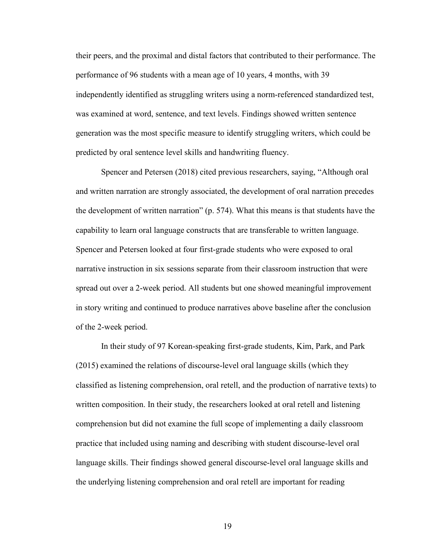their peers, and the proximal and distal factors that contributed to their performance. The performance of 96 students with a mean age of 10 years, 4 months, with 39 independently identified as struggling writers using a norm-referenced standardized test, was examined at word, sentence, and text levels. Findings showed written sentence generation was the most specific measure to identify struggling writers, which could be predicted by oral sentence level skills and handwriting fluency.

Spencer and Petersen (2018) cited previous researchers, saying, "Although oral and written narration are strongly associated, the development of oral narration precedes the development of written narration" (p. 574). What this means is that students have the capability to learn oral language constructs that are transferable to written language. Spencer and Petersen looked at four first-grade students who were exposed to oral narrative instruction in six sessions separate from their classroom instruction that were spread out over a 2-week period. All students but one showed meaningful improvement in story writing and continued to produce narratives above baseline after the conclusion of the 2-week period.

In their study of 97 Korean-speaking first-grade students, Kim, Park, and Park (2015) examined the relations of discourse-level oral language skills (which they classified as listening comprehension, oral retell, and the production of narrative texts) to written composition. In their study, the researchers looked at oral retell and listening comprehension but did not examine the full scope of implementing a daily classroom practice that included using naming and describing with student discourse-level oral language skills. Their findings showed general discourse-level oral language skills and the underlying listening comprehension and oral retell are important for reading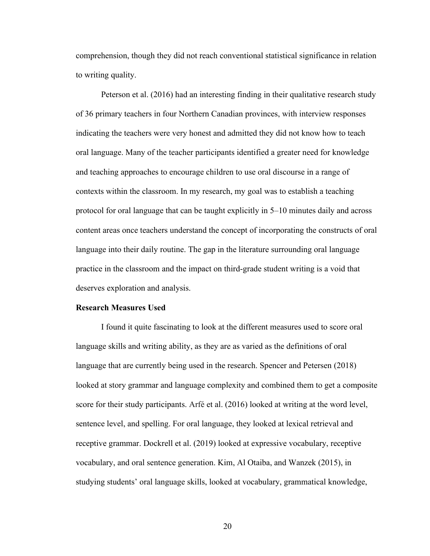comprehension, though they did not reach conventional statistical significance in relation to writing quality.

Peterson et al. (2016) had an interesting finding in their qualitative research study of 36 primary teachers in four Northern Canadian provinces, with interview responses indicating the teachers were very honest and admitted they did not know how to teach oral language. Many of the teacher participants identified a greater need for knowledge and teaching approaches to encourage children to use oral discourse in a range of contexts within the classroom. In my research, my goal was to establish a teaching protocol for oral language that can be taught explicitly in 5–10 minutes daily and across content areas once teachers understand the concept of incorporating the constructs of oral language into their daily routine. The gap in the literature surrounding oral language practice in the classroom and the impact on third-grade student writing is a void that deserves exploration and analysis.

#### <span id="page-31-0"></span>**Research Measures Used**

I found it quite fascinating to look at the different measures used to score oral language skills and writing ability, as they are as varied as the definitions of oral language that are currently being used in the research. Spencer and Petersen (2018) looked at story grammar and language complexity and combined them to get a composite score for their study participants. Arfé et al. (2016) looked at writing at the word level, sentence level, and spelling. For oral language, they looked at lexical retrieval and receptive grammar. Dockrell et al. (2019) looked at expressive vocabulary, receptive vocabulary, and oral sentence generation. Kim, Al Otaiba, and Wanzek (2015), in studying students' oral language skills, looked at vocabulary, grammatical knowledge,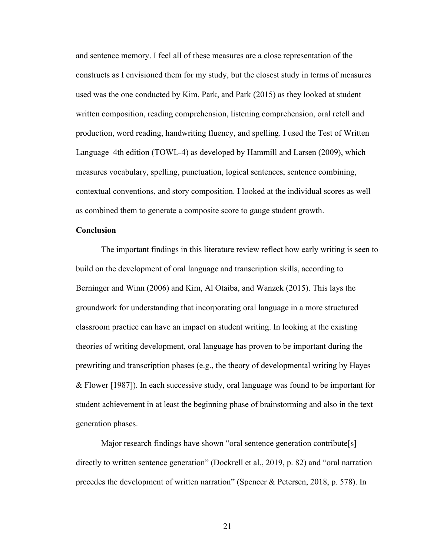and sentence memory. I feel all of these measures are a close representation of the constructs as I envisioned them for my study, but the closest study in terms of measures used was the one conducted by Kim, Park, and Park (2015) as they looked at student written composition, reading comprehension, listening comprehension, oral retell and production, word reading, handwriting fluency, and spelling. I used the Test of Written Language–4th edition (TOWL-4) as developed by Hammill and Larsen (2009), which measures vocabulary, spelling, punctuation, logical sentences, sentence combining, contextual conventions, and story composition. I looked at the individual scores as well as combined them to generate a composite score to gauge student growth.

# <span id="page-32-0"></span>**Conclusion**

The important findings in this literature review reflect how early writing is seen to build on the development of oral language and transcription skills, according to Berninger and Winn (2006) and Kim, Al Otaiba, and Wanzek (2015). This lays the groundwork for understanding that incorporating oral language in a more structured classroom practice can have an impact on student writing. In looking at the existing theories of writing development, oral language has proven to be important during the prewriting and transcription phases (e.g., the theory of developmental writing by Hayes & Flower [1987]). In each successive study, oral language was found to be important for student achievement in at least the beginning phase of brainstorming and also in the text generation phases.

Major research findings have shown "oral sentence generation contribute[s] directly to written sentence generation" (Dockrell et al., 2019, p. 82) and "oral narration precedes the development of written narration" (Spencer & Petersen, 2018, p. 578). In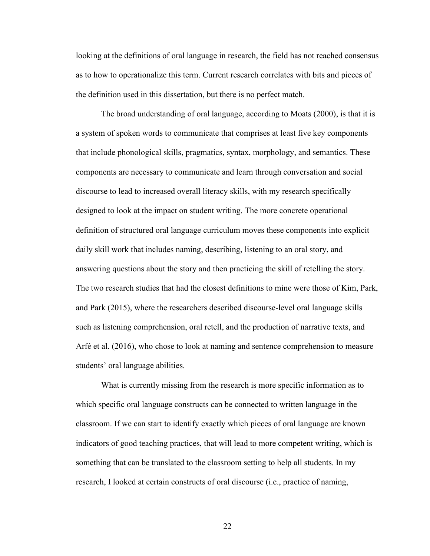looking at the definitions of oral language in research, the field has not reached consensus as to how to operationalize this term. Current research correlates with bits and pieces of the definition used in this dissertation, but there is no perfect match.

The broad understanding of oral language, according to Moats (2000), is that it is a system of spoken words to communicate that comprises at least five key components that include phonological skills, pragmatics, syntax, morphology, and semantics. These components are necessary to communicate and learn through conversation and social discourse to lead to increased overall literacy skills, with my research specifically designed to look at the impact on student writing. The more concrete operational definition of structured oral language curriculum moves these components into explicit daily skill work that includes naming, describing, listening to an oral story, and answering questions about the story and then practicing the skill of retelling the story. The two research studies that had the closest definitions to mine were those of Kim, Park, and Park (2015), where the researchers described discourse-level oral language skills such as listening comprehension, oral retell, and the production of narrative texts, and Arfé et al. (2016), who chose to look at naming and sentence comprehension to measure students' oral language abilities.

What is currently missing from the research is more specific information as to which specific oral language constructs can be connected to written language in the classroom. If we can start to identify exactly which pieces of oral language are known indicators of good teaching practices, that will lead to more competent writing, which is something that can be translated to the classroom setting to help all students. In my research, I looked at certain constructs of oral discourse (i.e., practice of naming,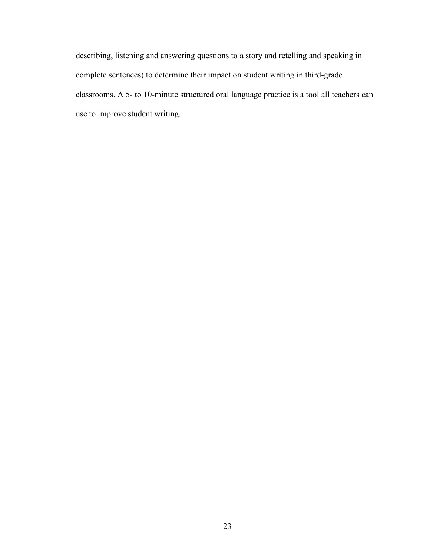describing, listening and answering questions to a story and retelling and speaking in complete sentences) to determine their impact on student writing in third-grade classrooms. A 5- to 10-minute structured oral language practice is a tool all teachers can use to improve student writing.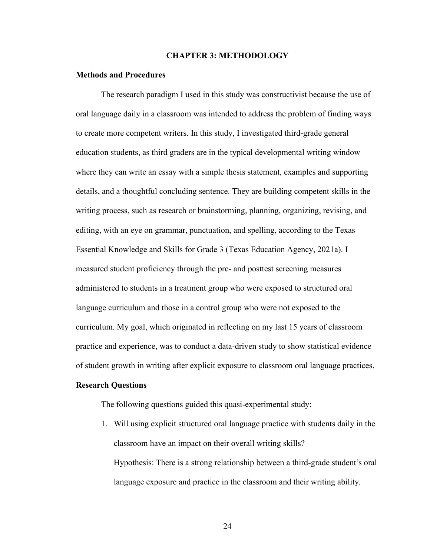## **CHAPTER 3: METHODOLOGY**

### <span id="page-35-1"></span><span id="page-35-0"></span>**Methods and Procedures**

The research paradigm I used in this study was constructivist because the use of oral language daily in a classroom was intended to address the problem of finding ways to create more competent writers. In this study, I investigated third-grade general education students, as third graders are in the typical developmental writing window where they can write an essay with a simple thesis statement, examples and supporting details, and a thoughtful concluding sentence. They are building competent skills in the writing process, such as research or brainstorming, planning, organizing, revising, and editing, with an eye on grammar, punctuation, and spelling, according to the Texas Essential Knowledge and Skills for Grade 3 (Texas Education Agency, 2021a). I measured student proficiency through the pre- and posttest screening measures administered to students in a treatment group who were exposed to structured oral language curriculum and those in a control group who were not exposed to the curriculum. My goal, which originated in reflecting on my last 15 years of classroom practice and experience, was to conduct a data-driven study to show statistical evidence of student growth in writing after explicit exposure to classroom oral language practices.

#### <span id="page-35-2"></span>**Research Questions**

The following questions guided this quasi-experimental study:

1. Will using explicit structured oral language practice with students daily in the classroom have an impact on their overall writing skills? Hypothesis: There is a strong relationship between a third-grade student's oral language exposure and practice in the classroom and their writing ability.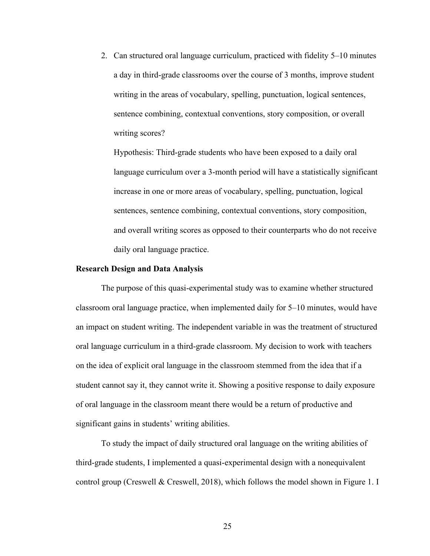2. Can structured oral language curriculum, practiced with fidelity 5–10 minutes a day in third-grade classrooms over the course of 3 months, improve student writing in the areas of vocabulary, spelling, punctuation, logical sentences, sentence combining, contextual conventions, story composition, or overall writing scores?

Hypothesis: Third-grade students who have been exposed to a daily oral language curriculum over a 3-month period will have a statistically significant increase in one or more areas of vocabulary, spelling, punctuation, logical sentences, sentence combining, contextual conventions, story composition, and overall writing scores as opposed to their counterparts who do not receive daily oral language practice.

### **Research Design and Data Analysis**

The purpose of this quasi-experimental study was to examine whether structured classroom oral language practice, when implemented daily for 5–10 minutes, would have an impact on student writing. The independent variable in was the treatment of structured oral language curriculum in a third-grade classroom. My decision to work with teachers on the idea of explicit oral language in the classroom stemmed from the idea that if a student cannot say it, they cannot write it. Showing a positive response to daily exposure of oral language in the classroom meant there would be a return of productive and significant gains in students' writing abilities.

To study the impact of daily structured oral language on the writing abilities of third-grade students, I implemented a quasi-experimental design with a nonequivalent control group (Creswell & Creswell, 2018), which follows the model shown in Figure 1. I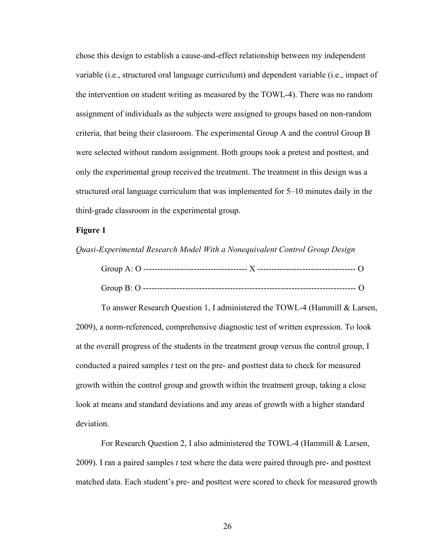chose this design to establish a cause-and-effect relationship between my independent variable (i.e., structured oral language curriculum) and dependent variable (i.e., impact of the intervention on student writing as measured by the TOWL-4). There was no random assignment of individuals as the subjects were assigned to groups based on non-random criteria, that being their classroom. The experimental Group A and the control Group B were selected without random assignment. Both groups took a pretest and posttest, and only the experimental group received the treatment. The treatment in this design was a structured oral language curriculum that was implemented for 5–10 minutes daily in the third-grade classroom in the experimental group.

## **Figure 1**

*Quasi-Experimental Research Model With a Nonequivalent Control Group Design* 

To answer Research Question 1, I administered the TOWL-4 (Hammill & Larsen, 2009), a norm-referenced, comprehensive diagnostic test of written expression. To look at the overall progress of the students in the treatment group versus the control group, I conducted a paired samples *t* test on the pre- and posttest data to check for measured growth within the control group and growth within the treatment group, taking a close look at means and standard deviations and any areas of growth with a higher standard deviation.

For Research Question 2, I also administered the TOWL-4 (Hammill & Larsen, 2009). I ran a paired samples *t* test where the data were paired through pre- and posttest matched data. Each student's pre- and posttest were scored to check for measured growth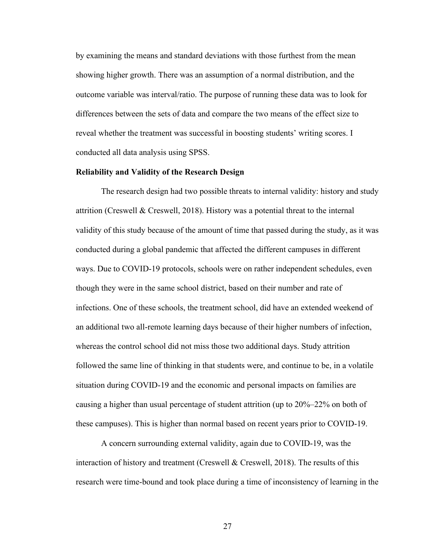by examining the means and standard deviations with those furthest from the mean showing higher growth. There was an assumption of a normal distribution, and the outcome variable was interval/ratio. The purpose of running these data was to look for differences between the sets of data and compare the two means of the effect size to reveal whether the treatment was successful in boosting students' writing scores. I conducted all data analysis using SPSS.

### **Reliability and Validity of the Research Design**

The research design had two possible threats to internal validity: history and study attrition (Creswell & Creswell, 2018). History was a potential threat to the internal validity of this study because of the amount of time that passed during the study, as it was conducted during a global pandemic that affected the different campuses in different ways. Due to COVID-19 protocols, schools were on rather independent schedules, even though they were in the same school district, based on their number and rate of infections. One of these schools, the treatment school, did have an extended weekend of an additional two all-remote learning days because of their higher numbers of infection, whereas the control school did not miss those two additional days. Study attrition followed the same line of thinking in that students were, and continue to be, in a volatile situation during COVID-19 and the economic and personal impacts on families are causing a higher than usual percentage of student attrition (up to 20%–22% on both of these campuses). This is higher than normal based on recent years prior to COVID-19.

A concern surrounding external validity, again due to COVID-19, was the interaction of history and treatment (Creswell & Creswell, 2018). The results of this research were time-bound and took place during a time of inconsistency of learning in the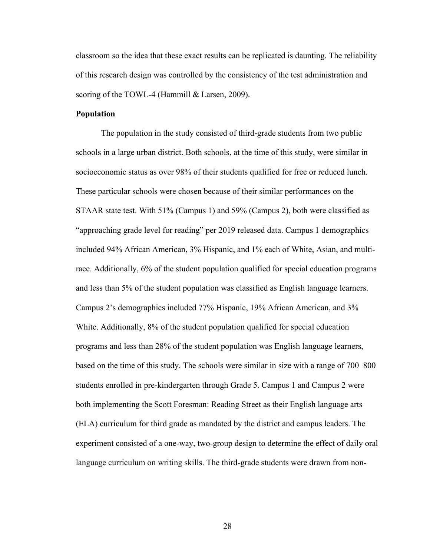classroom so the idea that these exact results can be replicated is daunting. The reliability of this research design was controlled by the consistency of the test administration and scoring of the TOWL-4 (Hammill & Larsen, 2009).

## **Population**

The population in the study consisted of third-grade students from two public schools in a large urban district. Both schools, at the time of this study, were similar in socioeconomic status as over 98% of their students qualified for free or reduced lunch. These particular schools were chosen because of their similar performances on the STAAR state test. With 51% (Campus 1) and 59% (Campus 2), both were classified as "approaching grade level for reading" per 2019 released data. Campus 1 demographics included 94% African American, 3% Hispanic, and 1% each of White, Asian, and multirace. Additionally, 6% of the student population qualified for special education programs and less than 5% of the student population was classified as English language learners. Campus 2's demographics included 77% Hispanic, 19% African American, and 3% White. Additionally, 8% of the student population qualified for special education programs and less than 28% of the student population was English language learners, based on the time of this study. The schools were similar in size with a range of 700–800 students enrolled in pre-kindergarten through Grade 5. Campus 1 and Campus 2 were both implementing the Scott Foresman: Reading Street as their English language arts (ELA) curriculum for third grade as mandated by the district and campus leaders. The experiment consisted of a one-way, two-group design to determine the effect of daily oral language curriculum on writing skills. The third-grade students were drawn from non-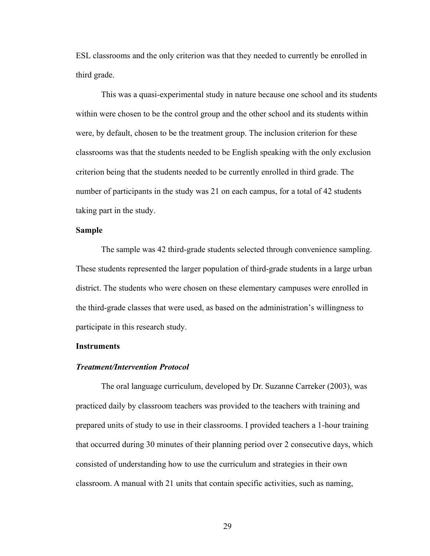ESL classrooms and the only criterion was that they needed to currently be enrolled in third grade.

This was a quasi-experimental study in nature because one school and its students within were chosen to be the control group and the other school and its students within were, by default, chosen to be the treatment group. The inclusion criterion for these classrooms was that the students needed to be English speaking with the only exclusion criterion being that the students needed to be currently enrolled in third grade. The number of participants in the study was 21 on each campus, for a total of 42 students taking part in the study.

## **Sample**

The sample was 42 third-grade students selected through convenience sampling. These students represented the larger population of third-grade students in a large urban district. The students who were chosen on these elementary campuses were enrolled in the third-grade classes that were used, as based on the administration's willingness to participate in this research study.

### **Instruments**

### *Treatment/Intervention Protocol*

The oral language curriculum, developed by Dr. Suzanne Carreker (2003), was practiced daily by classroom teachers was provided to the teachers with training and prepared units of study to use in their classrooms. I provided teachers a 1-hour training that occurred during 30 minutes of their planning period over 2 consecutive days, which consisted of understanding how to use the curriculum and strategies in their own classroom. A manual with 21 units that contain specific activities, such as naming,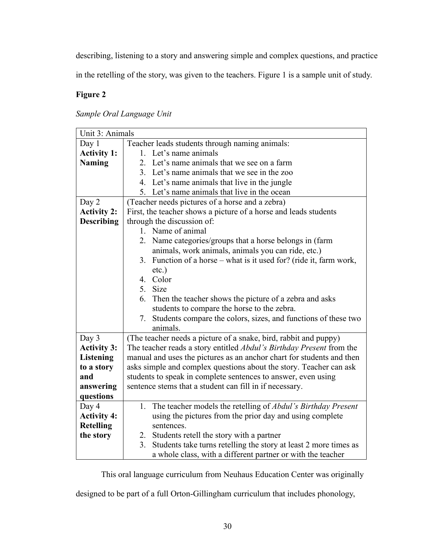describing, listening to a story and answering simple and complex questions, and practice

in the retelling of the story, was given to the teachers. Figure 1 is a sample unit of study.

# **Figure 2**

*Sample Oral Language Unit*

| Unit 3: Animals    |                                                                        |
|--------------------|------------------------------------------------------------------------|
| Day $1$            | Teacher leads students through naming animals:                         |
| <b>Activity 1:</b> | 1. Let's name animals                                                  |
| <b>Naming</b>      | 2. Let's name animals that we see on a farm                            |
|                    | 3. Let's name animals that we see in the zoo                           |
|                    | 4. Let's name animals that live in the jungle                          |
|                    | 5. Let's name animals that live in the ocean                           |
| Day 2              | (Teacher needs pictures of a horse and a zebra)                        |
| <b>Activity 2:</b> | First, the teacher shows a picture of a horse and leads students       |
| <b>Describing</b>  | through the discussion of:                                             |
|                    | 1. Name of animal                                                      |
|                    | Name categories/groups that a horse belongs in (farm<br>2.             |
|                    | animals, work animals, animals you can ride, etc.)                     |
|                    | Function of a horse – what is it used for? (ride it, farm work,<br>3.  |
|                    | $etc.$ )                                                               |
|                    | 4. Color                                                               |
|                    | 5. Size                                                                |
|                    | Then the teacher shows the picture of a zebra and asks<br>6.           |
|                    | students to compare the horse to the zebra.                            |
|                    | Students compare the colors, sizes, and functions of these two<br>7.   |
|                    | animals.                                                               |
| Day 3              | (The teacher needs a picture of a snake, bird, rabbit and puppy)       |
| <b>Activity 3:</b> | The teacher reads a story entitled Abdul's Birthday Present from the   |
| <b>Listening</b>   | manual and uses the pictures as an anchor chart for students and then  |
| to a story         | asks simple and complex questions about the story. Teacher can ask     |
| and                | students to speak in complete sentences to answer, even using          |
| answering          | sentence stems that a student can fill in if necessary.                |
| questions          |                                                                        |
| Day 4              | 1. The teacher models the retelling of Abdul's Birthday Present        |
| <b>Activity 4:</b> | using the pictures from the prior day and using complete               |
| <b>Retelling</b>   | sentences.                                                             |
| the story          | Students retell the story with a partner<br>2.                         |
|                    | Students take turns retelling the story at least 2 more times as<br>3. |
|                    | a whole class, with a different partner or with the teacher            |

This oral language curriculum from Neuhaus Education Center was originally

designed to be part of a full Orton-Gillingham curriculum that includes phonology,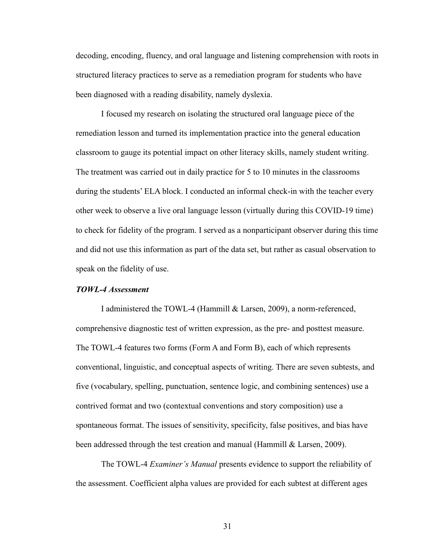decoding, encoding, fluency, and oral language and listening comprehension with roots in structured literacy practices to serve as a remediation program for students who have been diagnosed with a reading disability, namely dyslexia.

I focused my research on isolating the structured oral language piece of the remediation lesson and turned its implementation practice into the general education classroom to gauge its potential impact on other literacy skills, namely student writing. The treatment was carried out in daily practice for 5 to 10 minutes in the classrooms during the students' ELA block. I conducted an informal check-in with the teacher every other week to observe a live oral language lesson (virtually during this COVID-19 time) to check for fidelity of the program. I served as a nonparticipant observer during this time and did not use this information as part of the data set, but rather as casual observation to speak on the fidelity of use.

## *TOWL-4 Assessment*

I administered the TOWL-4 (Hammill & Larsen, 2009), a norm-referenced, comprehensive diagnostic test of written expression, as the pre- and posttest measure. The TOWL-4 features two forms (Form A and Form B), each of which represents conventional, linguistic, and conceptual aspects of writing. There are seven subtests, and five (vocabulary, spelling, punctuation, sentence logic, and combining sentences) use a contrived format and two (contextual conventions and story composition) use a spontaneous format. The issues of sensitivity, specificity, false positives, and bias have been addressed through the test creation and manual (Hammill & Larsen, 2009).

The TOWL-4 *Examiner's Manual* presents evidence to support the reliability of the assessment. Coefficient alpha values are provided for each subtest at different ages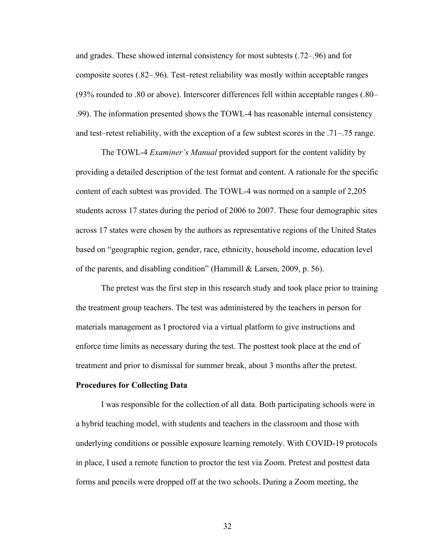and grades. These showed internal consistency for most subtests (.72–.96) and for composite scores (.82–.96). Test–retest reliability was mostly within acceptable ranges (93% rounded to .80 or above). Interscorer differences fell within acceptable ranges (.80– .99). The information presented shows the TOWL-4 has reasonable internal consistency and test–retest reliability, with the exception of a few subtest scores in the .71–.75 range.

The TOWL-4 *Examiner's Manual* provided support for the content validity by providing a detailed description of the test format and content. A rationale for the specific content of each subtest was provided. The TOWL-4 was normed on a sample of 2,205 students across 17 states during the period of 2006 to 2007. These four demographic sites across 17 states were chosen by the authors as representative regions of the United States based on "geographic region, gender, race, ethnicity, household income, education level of the parents, and disabling condition" (Hammill & Larsen, 2009, p. 56).

The pretest was the first step in this research study and took place prior to training the treatment group teachers. The test was administered by the teachers in person for materials management as I proctored via a virtual platform to give instructions and enforce time limits as necessary during the test. The posttest took place at the end of treatment and prior to dismissal for summer break, about 3 months after the pretest.

### **Procedures for Collecting Data**

I was responsible for the collection of all data. Both participating schools were in a hybrid teaching model, with students and teachers in the classroom and those with underlying conditions or possible exposure learning remotely. With COVID-19 protocols in place, I used a remote function to proctor the test via Zoom. Pretest and posttest data forms and pencils were dropped off at the two schools. During a Zoom meeting, the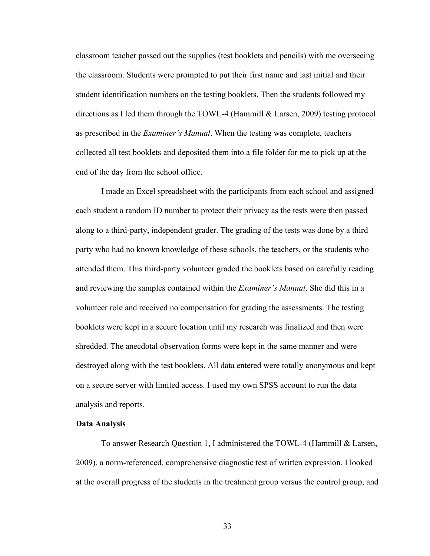classroom teacher passed out the supplies (test booklets and pencils) with me overseeing the classroom. Students were prompted to put their first name and last initial and their student identification numbers on the testing booklets. Then the students followed my directions as I led them through the TOWL-4 (Hammill & Larsen, 2009) testing protocol as prescribed in the *Examiner's Manual*. When the testing was complete, teachers collected all test booklets and deposited them into a file folder for me to pick up at the end of the day from the school office.

I made an Excel spreadsheet with the participants from each school and assigned each student a random ID number to protect their privacy as the tests were then passed along to a third-party, independent grader. The grading of the tests was done by a third party who had no known knowledge of these schools, the teachers, or the students who attended them. This third-party volunteer graded the booklets based on carefully reading and reviewing the samples contained within the *Examiner's Manual*. She did this in a volunteer role and received no compensation for grading the assessments. The testing booklets were kept in a secure location until my research was finalized and then were shredded. The anecdotal observation forms were kept in the same manner and were destroyed along with the test booklets. All data entered were totally anonymous and kept on a secure server with limited access. I used my own SPSS account to run the data analysis and reports.

### **Data Analysis**

To answer Research Question 1, I administered the TOWL-4 (Hammill & Larsen, 2009), a norm-referenced, comprehensive diagnostic test of written expression. I looked at the overall progress of the students in the treatment group versus the control group, and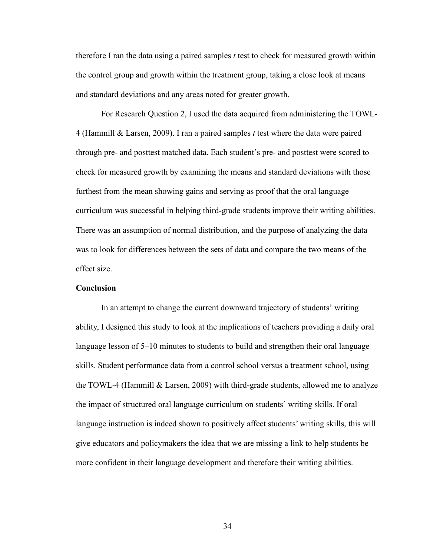therefore I ran the data using a paired samples *t* test to check for measured growth within the control group and growth within the treatment group, taking a close look at means and standard deviations and any areas noted for greater growth.

For Research Question 2, I used the data acquired from administering the TOWL-4 (Hammill & Larsen, 2009). I ran a paired samples *t* test where the data were paired through pre- and posttest matched data. Each student's pre- and posttest were scored to check for measured growth by examining the means and standard deviations with those furthest from the mean showing gains and serving as proof that the oral language curriculum was successful in helping third-grade students improve their writing abilities. There was an assumption of normal distribution, and the purpose of analyzing the data was to look for differences between the sets of data and compare the two means of the effect size.

## **Conclusion**

In an attempt to change the current downward trajectory of students' writing ability, I designed this study to look at the implications of teachers providing a daily oral language lesson of 5–10 minutes to students to build and strengthen their oral language skills. Student performance data from a control school versus a treatment school, using the TOWL-4 (Hammill & Larsen, 2009) with third-grade students, allowed me to analyze the impact of structured oral language curriculum on students' writing skills. If oral language instruction is indeed shown to positively affect students' writing skills, this will give educators and policymakers the idea that we are missing a link to help students be more confident in their language development and therefore their writing abilities.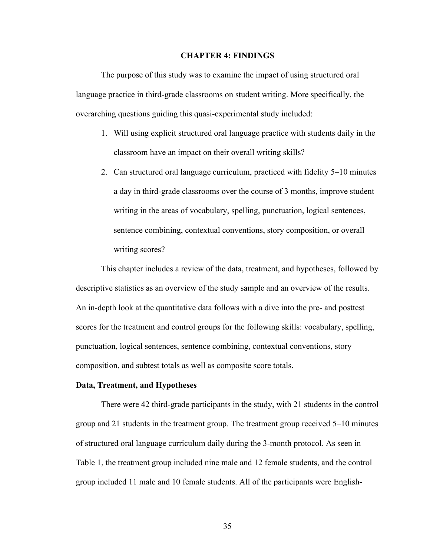### **CHAPTER 4: FINDINGS**

The purpose of this study was to examine the impact of using structured oral language practice in third-grade classrooms on student writing. More specifically, the overarching questions guiding this quasi-experimental study included:

- 1. Will using explicit structured oral language practice with students daily in the classroom have an impact on their overall writing skills?
- 2. Can structured oral language curriculum, practiced with fidelity 5–10 minutes a day in third-grade classrooms over the course of 3 months, improve student writing in the areas of vocabulary, spelling, punctuation, logical sentences, sentence combining, contextual conventions, story composition, or overall writing scores?

This chapter includes a review of the data, treatment, and hypotheses, followed by descriptive statistics as an overview of the study sample and an overview of the results. An in-depth look at the quantitative data follows with a dive into the pre- and posttest scores for the treatment and control groups for the following skills: vocabulary, spelling, punctuation, logical sentences, sentence combining, contextual conventions, story composition, and subtest totals as well as composite score totals.

### **Data, Treatment, and Hypotheses**

There were 42 third-grade participants in the study, with 21 students in the control group and 21 students in the treatment group. The treatment group received 5–10 minutes of structured oral language curriculum daily during the 3-month protocol. As seen in Table 1, the treatment group included nine male and 12 female students, and the control group included 11 male and 10 female students. All of the participants were English-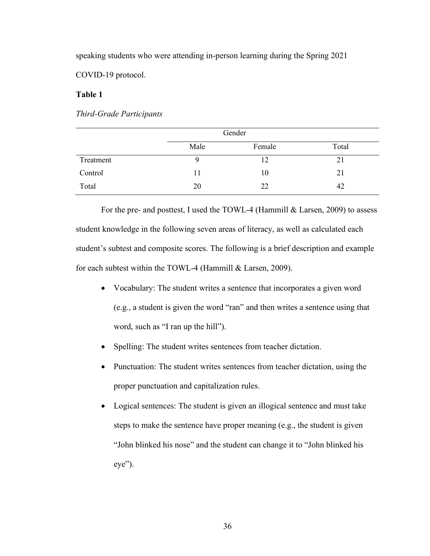speaking students who were attending in-person learning during the Spring 2021

COVID-19 protocol.

# **Table 1**

*Third-Grade Participants*

|           | Gender |        |       |  |  |
|-----------|--------|--------|-------|--|--|
|           | Male   | Female | Total |  |  |
| Treatment |        | 12     | 21    |  |  |
| Control   | 11     | 10     | 21    |  |  |
| Total     | 20     | 22     | 42    |  |  |

For the pre- and posttest, I used the TOWL-4 (Hammill & Larsen, 2009) to assess student knowledge in the following seven areas of literacy, as well as calculated each student's subtest and composite scores. The following is a brief description and example for each subtest within the TOWL-4 (Hammill & Larsen, 2009).

- Vocabulary: The student writes a sentence that incorporates a given word (e.g., a student is given the word "ran" and then writes a sentence using that word, such as "I ran up the hill").
- Spelling: The student writes sentences from teacher dictation.
- Punctuation: The student writes sentences from teacher dictation, using the proper punctuation and capitalization rules.
- Logical sentences: The student is given an illogical sentence and must take steps to make the sentence have proper meaning (e.g., the student is given "John blinked his nose" and the student can change it to "John blinked his eye").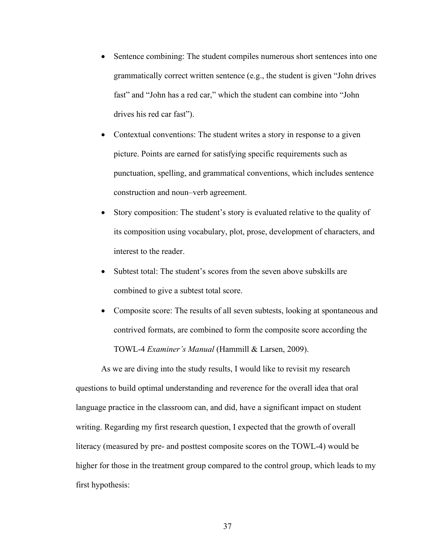- Sentence combining: The student compiles numerous short sentences into one grammatically correct written sentence (e.g., the student is given "John drives fast" and "John has a red car," which the student can combine into "John drives his red car fast").
- Contextual conventions: The student writes a story in response to a given picture. Points are earned for satisfying specific requirements such as punctuation, spelling, and grammatical conventions, which includes sentence construction and noun–verb agreement.
- Story composition: The student's story is evaluated relative to the quality of its composition using vocabulary, plot, prose, development of characters, and interest to the reader.
- Subtest total: The student's scores from the seven above subskills are combined to give a subtest total score.
- Composite score: The results of all seven subtests, looking at spontaneous and contrived formats, are combined to form the composite score according the TOWL-4 *Examiner's Manual* (Hammill & Larsen, 2009).

As we are diving into the study results, I would like to revisit my research questions to build optimal understanding and reverence for the overall idea that oral language practice in the classroom can, and did, have a significant impact on student writing. Regarding my first research question, I expected that the growth of overall literacy (measured by pre- and posttest composite scores on the TOWL-4) would be higher for those in the treatment group compared to the control group, which leads to my first hypothesis: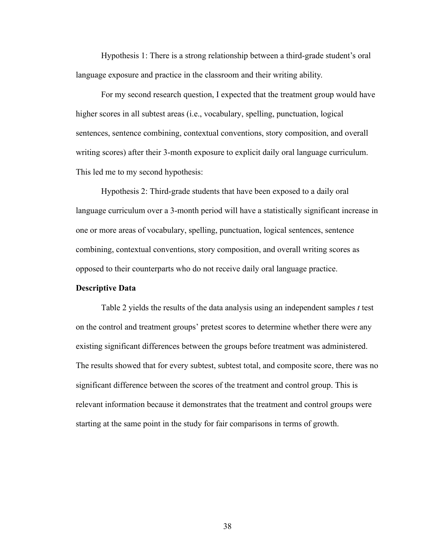Hypothesis 1: There is a strong relationship between a third-grade student's oral language exposure and practice in the classroom and their writing ability.

For my second research question, I expected that the treatment group would have higher scores in all subtest areas (i.e., vocabulary, spelling, punctuation, logical sentences, sentence combining, contextual conventions, story composition, and overall writing scores) after their 3-month exposure to explicit daily oral language curriculum. This led me to my second hypothesis:

Hypothesis 2: Third-grade students that have been exposed to a daily oral language curriculum over a 3-month period will have a statistically significant increase in one or more areas of vocabulary, spelling, punctuation, logical sentences, sentence combining, contextual conventions, story composition, and overall writing scores as opposed to their counterparts who do not receive daily oral language practice.

## **Descriptive Data**

Table 2 yields the results of the data analysis using an independent samples *t* test on the control and treatment groups' pretest scores to determine whether there were any existing significant differences between the groups before treatment was administered. The results showed that for every subtest, subtest total, and composite score, there was no significant difference between the scores of the treatment and control group. This is relevant information because it demonstrates that the treatment and control groups were starting at the same point in the study for fair comparisons in terms of growth.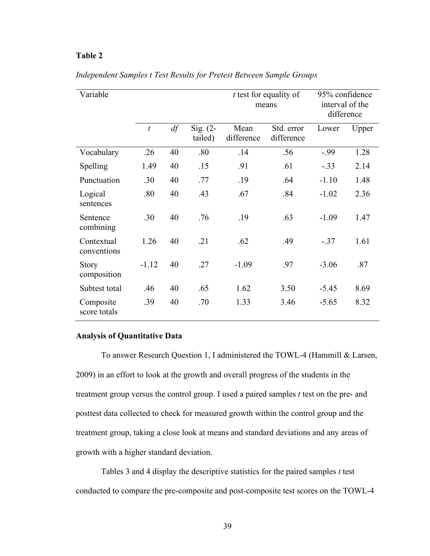# **Table 2**

| Variable                    |                  |    |                       | $t$ test for equality of<br>means |                          | 95% confidence<br>interval of the<br>difference |       |
|-----------------------------|------------------|----|-----------------------|-----------------------------------|--------------------------|-------------------------------------------------|-------|
|                             | $\boldsymbol{t}$ | df | Sig. $(2-$<br>tailed) | Mean<br>difference                | Std. error<br>difference | Lower                                           | Upper |
| Vocabulary                  | .26              | 40 | .80                   | .14                               | .56                      | $-.99$                                          | 1.28  |
| Spelling                    | 1.49             | 40 | .15                   | .91                               | .61                      | $-.33$                                          | 2.14  |
| Punctuation                 | .30              | 40 | .77                   | .19                               | .64                      | $-1.10$                                         | 1.48  |
| Logical<br>sentences        | .80              | 40 | .43                   | .67                               | .84                      | $-1.02$                                         | 2.36  |
| Sentence<br>combining       | .30              | 40 | .76                   | .19                               | .63                      | $-1.09$                                         | 1.47  |
| Contextual<br>conventions   | 1.26             | 40 | .21                   | .62                               | .49                      | $-.37$                                          | 1.61  |
| <b>Story</b><br>composition | $-1.12$          | 40 | .27                   | $-1.09$                           | .97                      | $-3.06$                                         | .87   |
| Subtest total               | .46              | 40 | .65                   | 1.62                              | 3.50                     | $-5.45$                                         | 8.69  |
| Composite<br>score totals   | .39              | 40 | .70                   | 1.33                              | 3.46                     | $-5.65$                                         | 8.32  |

*Independent Samples t Test Results for Pretest Between Sample Groups*

### **Analysis of Quantitative Data**

To answer Research Question 1, I administered the TOWL-4 (Hammill & Larsen, 2009) in an effort to look at the growth and overall progress of the students in the treatment group versus the control group. I used a paired samples *t* test on the pre- and posttest data collected to check for measured growth within the control group and the treatment group, taking a close look at means and standard deviations and any areas of growth with a higher standard deviation.

Tables 3 and 4 display the descriptive statistics for the paired samples *t* test conducted to compare the pre-composite and post-composite test scores on the TOWL-4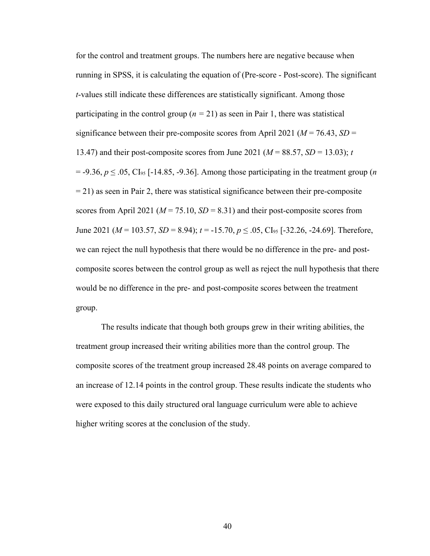for the control and treatment groups. The numbers here are negative because when running in SPSS, it is calculating the equation of (Pre-score - Post-score). The significant *t*-values still indicate these differences are statistically significant. Among those participating in the control group ( $n = 21$ ) as seen in Pair 1, there was statistical significance between their pre-composite scores from April 2021 ( $M = 76.43$ ,  $SD =$ 13.47) and their post-composite scores from June 2021 ( $M = 88.57$ ,  $SD = 13.03$ ); *t*  $=$  -9.36,  $p \le 0.05$ , CI<sub>95</sub> [-14.85, -9.36]. Among those participating in the treatment group (*n*  $= 21$ ) as seen in Pair 2, there was statistical significance between their pre-composite scores from April 2021 ( $M = 75.10$ ,  $SD = 8.31$ ) and their post-composite scores from June 2021 ( $M = 103.57$ ,  $SD = 8.94$ );  $t = -15.70$ ,  $p \le .05$ ,  $CI_{95}$  [-32.26, -24.69]. Therefore, we can reject the null hypothesis that there would be no difference in the pre- and postcomposite scores between the control group as well as reject the null hypothesis that there would be no difference in the pre- and post-composite scores between the treatment group.

The results indicate that though both groups grew in their writing abilities, the treatment group increased their writing abilities more than the control group. The composite scores of the treatment group increased 28.48 points on average compared to an increase of 12.14 points in the control group. These results indicate the students who were exposed to this daily structured oral language curriculum were able to achieve higher writing scores at the conclusion of the study.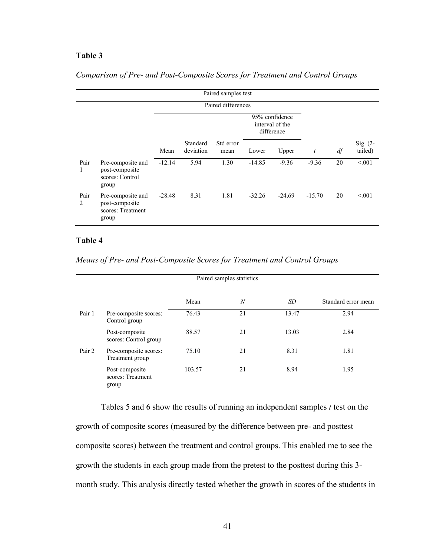# **Table 3**

|           | Paired samples test                                               |          |                       |                    |                                                 |          |          |    |                       |
|-----------|-------------------------------------------------------------------|----------|-----------------------|--------------------|-------------------------------------------------|----------|----------|----|-----------------------|
|           |                                                                   |          |                       | Paired differences |                                                 |          |          |    |                       |
|           |                                                                   |          |                       |                    | 95% confidence<br>interval of the<br>difference |          |          |    |                       |
|           |                                                                   | Mean     | Standard<br>deviation | Std error<br>mean  | Lower                                           | Upper    | t        | df | Sig. $(2-$<br>tailed) |
| Pair<br>1 | Pre-composite and<br>post-composite<br>scores: Control<br>group   | $-12.14$ | 5.94                  | 1.30               | $-14.85$                                        | $-9.36$  | $-9.36$  | 20 | < 0.01                |
| Pair<br>2 | Pre-composite and<br>post-composite<br>scores: Treatment<br>group | $-28.48$ | 8.31                  | 1.81               | $-32.26$                                        | $-24.69$ | $-15.70$ | 20 | < 0.01                |

# *Comparison of Pre- and Post-Composite Scores for Treatment and Control Groups*

# **Table 4**

|        | Paired samples statistics                    |        |    |       |                     |  |  |  |  |
|--------|----------------------------------------------|--------|----|-------|---------------------|--|--|--|--|
|        |                                              | Mean   | N  | SD.   | Standard error mean |  |  |  |  |
| Pair 1 | Pre-composite scores:<br>Control group       | 76.43  | 21 | 13.47 | 2.94                |  |  |  |  |
|        | Post-composite<br>scores: Control group      | 88.57  | 21 | 13.03 | 2.84                |  |  |  |  |
| Pair 2 | Pre-composite scores:<br>Treatment group     | 75.10  | 21 | 8.31  | 1.81                |  |  |  |  |
|        | Post-composite<br>scores: Treatment<br>group | 103.57 | 21 | 8.94  | 1.95                |  |  |  |  |

*Means of Pre- and Post-Composite Scores for Treatment and Control Groups*

Tables 5 and 6 show the results of running an independent samples *t* test on the growth of composite scores (measured by the difference between pre- and posttest composite scores) between the treatment and control groups. This enabled me to see the growth the students in each group made from the pretest to the posttest during this 3 month study. This analysis directly tested whether the growth in scores of the students in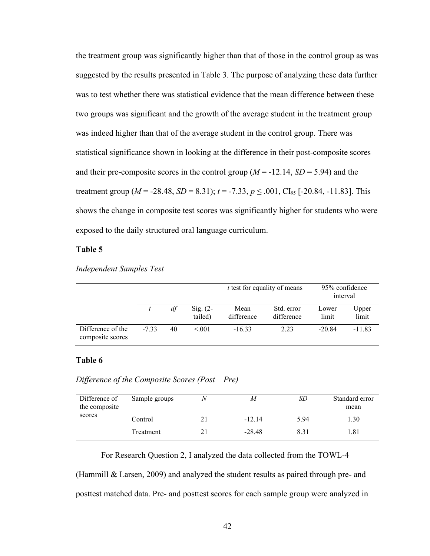the treatment group was significantly higher than that of those in the control group as was suggested by the results presented in Table 3. The purpose of analyzing these data further was to test whether there was statistical evidence that the mean difference between these two groups was significant and the growth of the average student in the treatment group was indeed higher than that of the average student in the control group. There was statistical significance shown in looking at the difference in their post-composite scores and their pre-composite scores in the control group  $(M = -12.14, SD = 5.94)$  and the treatment group ( $M = -28.48$ ,  $SD = 8.31$ );  $t = -7.33$ ,  $p \le .001$ , CI<sub>95</sub> [-20.84, -11.83]. This shows the change in composite test scores was significantly higher for students who were exposed to the daily structured oral language curriculum.

### **Table 5**

| <b>Independent Samples Test</b> |  |  |
|---------------------------------|--|--|
|---------------------------------|--|--|

|                                       |         |    |                        | $t$ test for equality of means |                          | 95% confidence<br>interval |                |  |
|---------------------------------------|---------|----|------------------------|--------------------------------|--------------------------|----------------------------|----------------|--|
|                                       |         | df | Sig. $(2 -$<br>tailed) | Mean<br>difference             | Std. error<br>difference | Lower<br>limit             | Upper<br>limit |  |
| Difference of the<br>composite scores | $-7.33$ | 40 | < 0.01                 | $-16.33$                       | 2.23                     | $-20.84$                   | $-11.83$       |  |

# **Table 6**

# *Difference of the Composite Scores (Post – Pre)*

| Difference of<br>the composite<br>scores | Sample groups |    | M        | SD   | Standard error<br>mean |
|------------------------------------------|---------------|----|----------|------|------------------------|
|                                          | Control       |    | $-12.14$ | 5.94 | 1.30                   |
|                                          | Treatment     | 21 | $-28.48$ | 8.31 | 1.81                   |

For Research Question 2, I analyzed the data collected from the TOWL-4

(Hammill & Larsen, 2009) and analyzed the student results as paired through pre- and posttest matched data. Pre- and posttest scores for each sample group were analyzed in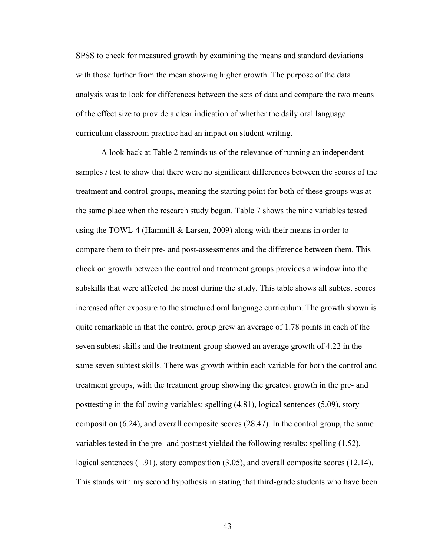SPSS to check for measured growth by examining the means and standard deviations with those further from the mean showing higher growth. The purpose of the data analysis was to look for differences between the sets of data and compare the two means of the effect size to provide a clear indication of whether the daily oral language curriculum classroom practice had an impact on student writing.

A look back at Table 2 reminds us of the relevance of running an independent samples *t* test to show that there were no significant differences between the scores of the treatment and control groups, meaning the starting point for both of these groups was at the same place when the research study began. Table 7 shows the nine variables tested using the TOWL-4 (Hammill  $&$  Larsen, 2009) along with their means in order to compare them to their pre- and post-assessments and the difference between them. This check on growth between the control and treatment groups provides a window into the subskills that were affected the most during the study. This table shows all subtest scores increased after exposure to the structured oral language curriculum. The growth shown is quite remarkable in that the control group grew an average of 1.78 points in each of the seven subtest skills and the treatment group showed an average growth of 4.22 in the same seven subtest skills. There was growth within each variable for both the control and treatment groups, with the treatment group showing the greatest growth in the pre- and posttesting in the following variables: spelling (4.81), logical sentences (5.09), story composition (6.24), and overall composite scores (28.47). In the control group, the same variables tested in the pre- and posttest yielded the following results: spelling (1.52), logical sentences (1.91), story composition (3.05), and overall composite scores (12.14). This stands with my second hypothesis in stating that third-grade students who have been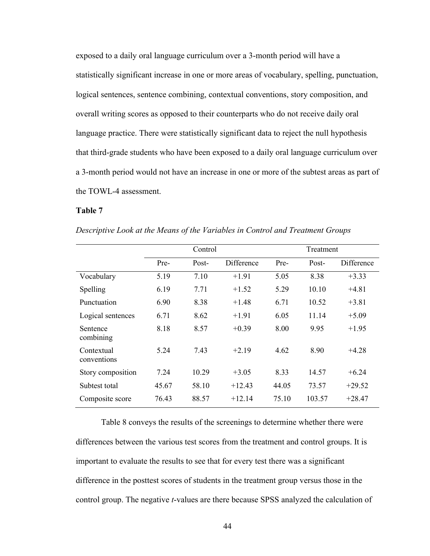exposed to a daily oral language curriculum over a 3-month period will have a statistically significant increase in one or more areas of vocabulary, spelling, punctuation, logical sentences, sentence combining, contextual conventions, story composition, and overall writing scores as opposed to their counterparts who do not receive daily oral language practice. There were statistically significant data to reject the null hypothesis that third-grade students who have been exposed to a daily oral language curriculum over a 3-month period would not have an increase in one or more of the subtest areas as part of the TOWL-4 assessment.

### **Table 7**

|  | Descriptive Look at the Means of the Variables in Control and Treatment Groups |
|--|--------------------------------------------------------------------------------|
|  |                                                                                |

|                           | Control |       |            | Treatment |        |            |  |
|---------------------------|---------|-------|------------|-----------|--------|------------|--|
|                           | Pre-    | Post- | Difference | Pre-      | Post-  | Difference |  |
| Vocabulary                | 5.19    | 7.10  | $+1.91$    | 5.05      | 8.38   | $+3.33$    |  |
| Spelling                  | 6.19    | 7.71  | $+1.52$    | 5.29      | 10.10  | $+4.81$    |  |
| Punctuation               | 6.90    | 8.38  | $+1.48$    | 6.71      | 10.52  | $+3.81$    |  |
| Logical sentences         | 6.71    | 8.62  | $+1.91$    | 6.05      | 11.14  | $+5.09$    |  |
| Sentence<br>combining     | 8.18    | 8.57  | $+0.39$    | 8.00      | 9.95   | $+1.95$    |  |
| Contextual<br>conventions | 5.24    | 7.43  | $+2.19$    | 4.62      | 8.90   | $+4.28$    |  |
| Story composition         | 7.24    | 10.29 | $+3.05$    | 8.33      | 14.57  | $+6.24$    |  |
| Subtest total             | 45.67   | 58.10 | $+12.43$   | 44.05     | 73.57  | $+29.52$   |  |
| Composite score           | 76.43   | 88.57 | $+12.14$   | 75.10     | 103.57 | $+28.47$   |  |

Table 8 conveys the results of the screenings to determine whether there were differences between the various test scores from the treatment and control groups. It is important to evaluate the results to see that for every test there was a significant difference in the posttest scores of students in the treatment group versus those in the control group. The negative *t*-values are there because SPSS analyzed the calculation of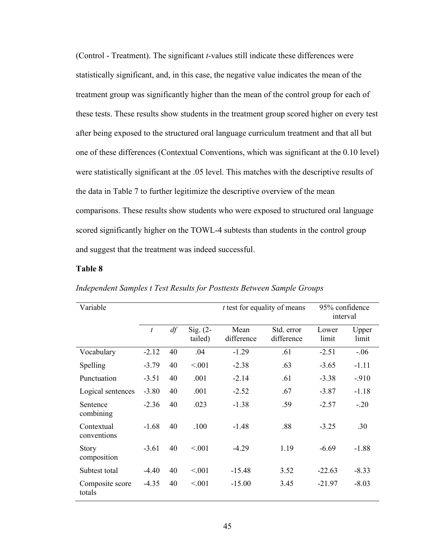(Control - Treatment). The significant *t*-values still indicate these differences were statistically significant, and, in this case, the negative value indicates the mean of the treatment group was significantly higher than the mean of the control group for each of these tests. These results show students in the treatment group scored higher on every test after being exposed to the structured oral language curriculum treatment and that all but one of these differences (Contextual Conventions, which was significant at the 0.10 level) were statistically significant at the .05 level. This matches with the descriptive results of the data in Table 7 to further legitimize the descriptive overview of the mean comparisons. These results show students who were exposed to structured oral language scored significantly higher on the TOWL-4 subtests than students in the control group and suggest that the treatment was indeed successful.

## **Table 8**

| Variable                    |                  |    |                       | $t$ test for equality of means |                          | 95% confidence<br>interval |                |
|-----------------------------|------------------|----|-----------------------|--------------------------------|--------------------------|----------------------------|----------------|
|                             | $\boldsymbol{t}$ | df | Sig. $(2-$<br>tailed) | Mean<br>difference             | Std. error<br>difference | Lower<br>limit             | Upper<br>limit |
| Vocabulary                  | $-2.12$          | 40 | .04                   | $-1.29$                        | .61                      | $-2.51$                    | $-.06$         |
| Spelling                    | $-3.79$          | 40 | < 0.001               | $-2.38$                        | .63                      | $-3.65$                    | $-1.11$        |
| Punctuation                 | $-3.51$          | 40 | .001                  | $-2.14$                        | .61                      | $-3.38$                    | $-.910$        |
| Logical sentences           | $-3.80$          | 40 | .001                  | $-2.52$                        | .67                      | $-3.87$                    | $-1.18$        |
| Sentence<br>combining       | $-2.36$          | 40 | .023                  | $-1.38$                        | .59                      | $-2.57$                    | $-20$          |
| Contextual<br>conventions   | $-1.68$          | 40 | .100                  | $-1.48$                        | .88                      | $-3.25$                    | .30            |
| <b>Story</b><br>composition | $-3.61$          | 40 | < 0.001               | $-4.29$                        | 1.19                     | $-6.69$                    | $-1.88$        |
| Subtest total               | $-4.40$          | 40 | < 0.001               | $-15.48$                       | 3.52                     | $-22.63$                   | $-8.33$        |
| Composite score<br>totals   | $-4.35$          | 40 | < 0.001               | $-15.00$                       | 3.45                     | $-21.97$                   | $-8.03$        |

*Independent Samples t Test Results for Posttests Between Sample Groups*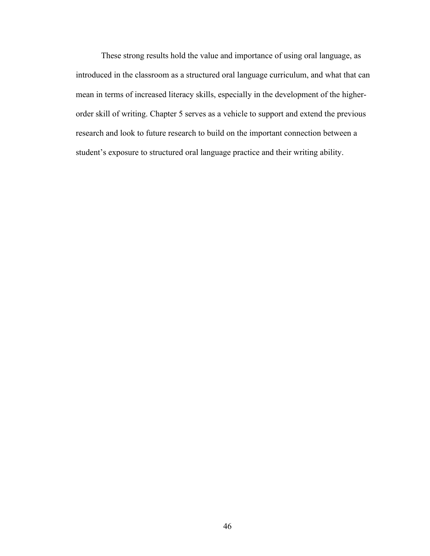These strong results hold the value and importance of using oral language, as introduced in the classroom as a structured oral language curriculum, and what that can mean in terms of increased literacy skills, especially in the development of the higherorder skill of writing. Chapter 5 serves as a vehicle to support and extend the previous research and look to future research to build on the important connection between a student's exposure to structured oral language practice and their writing ability.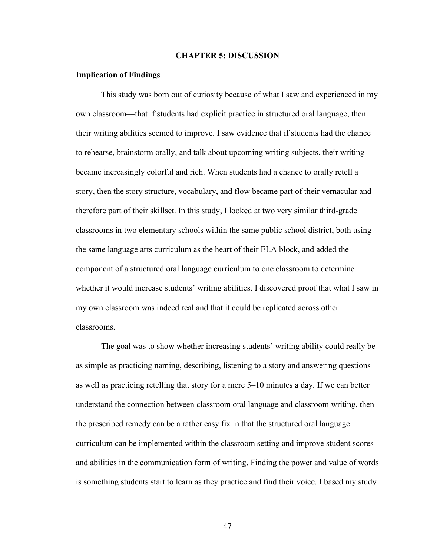### **CHAPTER 5: DISCUSSION**

### **Implication of Findings**

This study was born out of curiosity because of what I saw and experienced in my own classroom––that if students had explicit practice in structured oral language, then their writing abilities seemed to improve. I saw evidence that if students had the chance to rehearse, brainstorm orally, and talk about upcoming writing subjects, their writing became increasingly colorful and rich. When students had a chance to orally retell a story, then the story structure, vocabulary, and flow became part of their vernacular and therefore part of their skillset. In this study, I looked at two very similar third-grade classrooms in two elementary schools within the same public school district, both using the same language arts curriculum as the heart of their ELA block, and added the component of a structured oral language curriculum to one classroom to determine whether it would increase students' writing abilities. I discovered proof that what I saw in my own classroom was indeed real and that it could be replicated across other classrooms.

The goal was to show whether increasing students' writing ability could really be as simple as practicing naming, describing, listening to a story and answering questions as well as practicing retelling that story for a mere 5–10 minutes a day. If we can better understand the connection between classroom oral language and classroom writing, then the prescribed remedy can be a rather easy fix in that the structured oral language curriculum can be implemented within the classroom setting and improve student scores and abilities in the communication form of writing. Finding the power and value of words is something students start to learn as they practice and find their voice. I based my study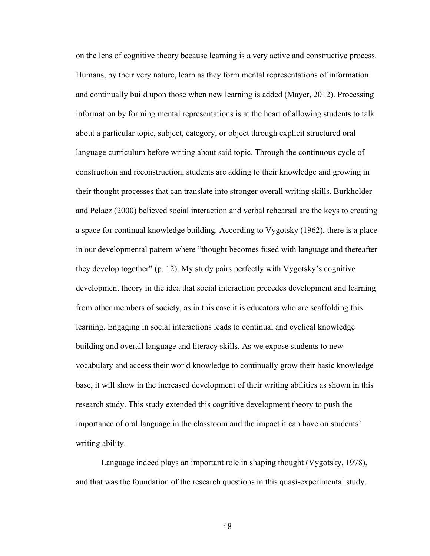on the lens of cognitive theory because learning is a very active and constructive process. Humans, by their very nature, learn as they form mental representations of information and continually build upon those when new learning is added (Mayer, 2012). Processing information by forming mental representations is at the heart of allowing students to talk about a particular topic, subject, category, or object through explicit structured oral language curriculum before writing about said topic. Through the continuous cycle of construction and reconstruction, students are adding to their knowledge and growing in their thought processes that can translate into stronger overall writing skills. Burkholder and Pelaez (2000) believed social interaction and verbal rehearsal are the keys to creating a space for continual knowledge building. According to Vygotsky (1962), there is a place in our developmental pattern where "thought becomes fused with language and thereafter they develop together" (p. 12). My study pairs perfectly with Vygotsky's cognitive development theory in the idea that social interaction precedes development and learning from other members of society, as in this case it is educators who are scaffolding this learning. Engaging in social interactions leads to continual and cyclical knowledge building and overall language and literacy skills. As we expose students to new vocabulary and access their world knowledge to continually grow their basic knowledge base, it will show in the increased development of their writing abilities as shown in this research study. This study extended this cognitive development theory to push the importance of oral language in the classroom and the impact it can have on students' writing ability.

Language indeed plays an important role in shaping thought (Vygotsky, 1978), and that was the foundation of the research questions in this quasi-experimental study.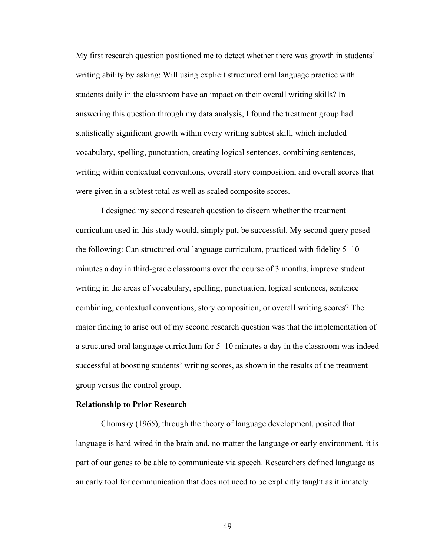My first research question positioned me to detect whether there was growth in students' writing ability by asking: Will using explicit structured oral language practice with students daily in the classroom have an impact on their overall writing skills? In answering this question through my data analysis, I found the treatment group had statistically significant growth within every writing subtest skill, which included vocabulary, spelling, punctuation, creating logical sentences, combining sentences, writing within contextual conventions, overall story composition, and overall scores that were given in a subtest total as well as scaled composite scores.

I designed my second research question to discern whether the treatment curriculum used in this study would, simply put, be successful. My second query posed the following: Can structured oral language curriculum, practiced with fidelity 5–10 minutes a day in third-grade classrooms over the course of 3 months, improve student writing in the areas of vocabulary, spelling, punctuation, logical sentences, sentence combining, contextual conventions, story composition, or overall writing scores? The major finding to arise out of my second research question was that the implementation of a structured oral language curriculum for 5–10 minutes a day in the classroom was indeed successful at boosting students' writing scores, as shown in the results of the treatment group versus the control group.

### **Relationship to Prior Research**

Chomsky (1965), through the theory of language development, posited that language is hard-wired in the brain and, no matter the language or early environment, it is part of our genes to be able to communicate via speech. Researchers defined language as an early tool for communication that does not need to be explicitly taught as it innately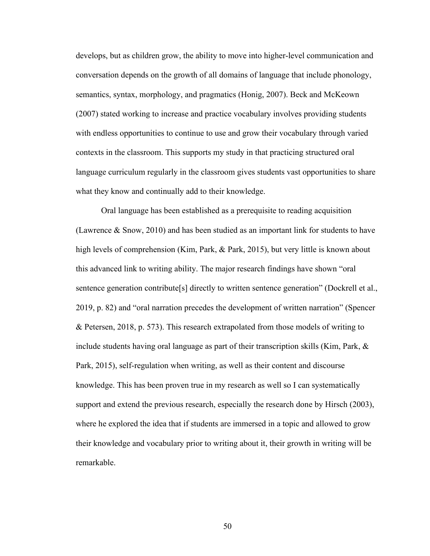develops, but as children grow, the ability to move into higher-level communication and conversation depends on the growth of all domains of language that include phonology, semantics, syntax, morphology, and pragmatics (Honig, 2007). Beck and McKeown (2007) stated working to increase and practice vocabulary involves providing students with endless opportunities to continue to use and grow their vocabulary through varied contexts in the classroom. This supports my study in that practicing structured oral language curriculum regularly in the classroom gives students vast opportunities to share what they know and continually add to their knowledge.

Oral language has been established as a prerequisite to reading acquisition (Lawrence & Snow, 2010) and has been studied as an important link for students to have high levels of comprehension (Kim, Park, & Park, 2015), but very little is known about this advanced link to writing ability. The major research findings have shown "oral sentence generation contribute[s] directly to written sentence generation" (Dockrell et al., 2019, p. 82) and "oral narration precedes the development of written narration" (Spencer & Petersen, 2018, p. 573). This research extrapolated from those models of writing to include students having oral language as part of their transcription skills (Kim, Park,  $\&$ Park, 2015), self-regulation when writing, as well as their content and discourse knowledge. This has been proven true in my research as well so I can systematically support and extend the previous research, especially the research done by Hirsch (2003), where he explored the idea that if students are immersed in a topic and allowed to grow their knowledge and vocabulary prior to writing about it, their growth in writing will be remarkable.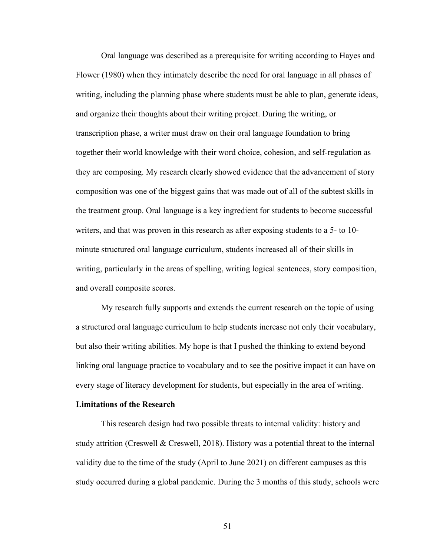Oral language was described as a prerequisite for writing according to Hayes and Flower (1980) when they intimately describe the need for oral language in all phases of writing, including the planning phase where students must be able to plan, generate ideas, and organize their thoughts about their writing project. During the writing, or transcription phase, a writer must draw on their oral language foundation to bring together their world knowledge with their word choice, cohesion, and self-regulation as they are composing. My research clearly showed evidence that the advancement of story composition was one of the biggest gains that was made out of all of the subtest skills in the treatment group. Oral language is a key ingredient for students to become successful writers, and that was proven in this research as after exposing students to a 5- to 10 minute structured oral language curriculum, students increased all of their skills in writing, particularly in the areas of spelling, writing logical sentences, story composition, and overall composite scores.

My research fully supports and extends the current research on the topic of using a structured oral language curriculum to help students increase not only their vocabulary, but also their writing abilities. My hope is that I pushed the thinking to extend beyond linking oral language practice to vocabulary and to see the positive impact it can have on every stage of literacy development for students, but especially in the area of writing.

### **Limitations of the Research**

This research design had two possible threats to internal validity: history and study attrition (Creswell & Creswell, 2018). History was a potential threat to the internal validity due to the time of the study (April to June 2021) on different campuses as this study occurred during a global pandemic. During the 3 months of this study, schools were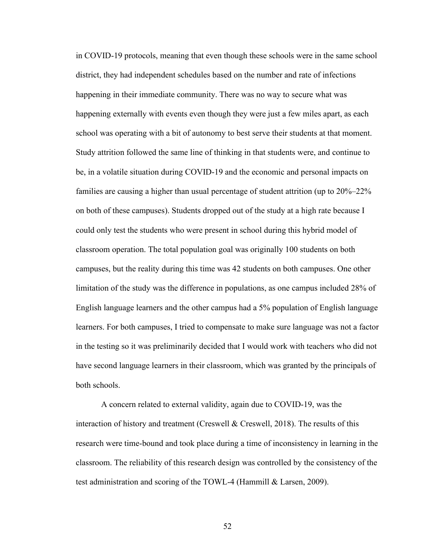in COVID-19 protocols, meaning that even though these schools were in the same school district, they had independent schedules based on the number and rate of infections happening in their immediate community. There was no way to secure what was happening externally with events even though they were just a few miles apart, as each school was operating with a bit of autonomy to best serve their students at that moment. Study attrition followed the same line of thinking in that students were, and continue to be, in a volatile situation during COVID-19 and the economic and personal impacts on families are causing a higher than usual percentage of student attrition (up to 20%–22% on both of these campuses). Students dropped out of the study at a high rate because I could only test the students who were present in school during this hybrid model of classroom operation. The total population goal was originally 100 students on both campuses, but the reality during this time was 42 students on both campuses. One other limitation of the study was the difference in populations, as one campus included 28% of English language learners and the other campus had a 5% population of English language learners. For both campuses, I tried to compensate to make sure language was not a factor in the testing so it was preliminarily decided that I would work with teachers who did not have second language learners in their classroom, which was granted by the principals of both schools.

A concern related to external validity, again due to COVID-19, was the interaction of history and treatment (Creswell & Creswell, 2018). The results of this research were time-bound and took place during a time of inconsistency in learning in the classroom. The reliability of this research design was controlled by the consistency of the test administration and scoring of the TOWL-4 (Hammill & Larsen, 2009).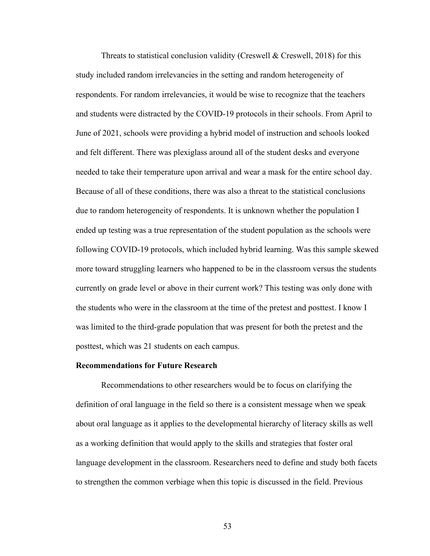Threats to statistical conclusion validity (Creswell  $\&$  Creswell, 2018) for this study included random irrelevancies in the setting and random heterogeneity of respondents. For random irrelevancies, it would be wise to recognize that the teachers and students were distracted by the COVID-19 protocols in their schools. From April to June of 2021, schools were providing a hybrid model of instruction and schools looked and felt different. There was plexiglass around all of the student desks and everyone needed to take their temperature upon arrival and wear a mask for the entire school day. Because of all of these conditions, there was also a threat to the statistical conclusions due to random heterogeneity of respondents. It is unknown whether the population I ended up testing was a true representation of the student population as the schools were following COVID-19 protocols, which included hybrid learning. Was this sample skewed more toward struggling learners who happened to be in the classroom versus the students currently on grade level or above in their current work? This testing was only done with the students who were in the classroom at the time of the pretest and posttest. I know I was limited to the third-grade population that was present for both the pretest and the posttest, which was 21 students on each campus.

## **Recommendations for Future Research**

Recommendations to other researchers would be to focus on clarifying the definition of oral language in the field so there is a consistent message when we speak about oral language as it applies to the developmental hierarchy of literacy skills as well as a working definition that would apply to the skills and strategies that foster oral language development in the classroom. Researchers need to define and study both facets to strengthen the common verbiage when this topic is discussed in the field. Previous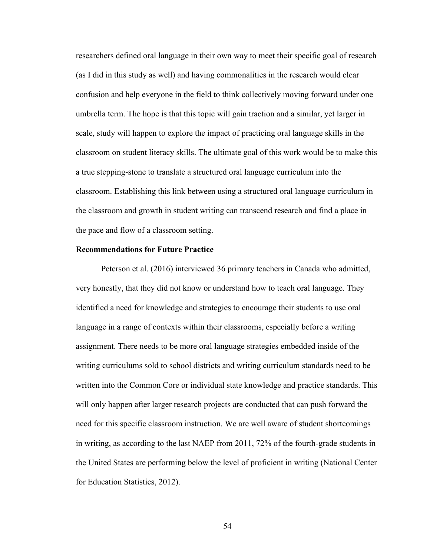researchers defined oral language in their own way to meet their specific goal of research (as I did in this study as well) and having commonalities in the research would clear confusion and help everyone in the field to think collectively moving forward under one umbrella term. The hope is that this topic will gain traction and a similar, yet larger in scale, study will happen to explore the impact of practicing oral language skills in the classroom on student literacy skills. The ultimate goal of this work would be to make this a true stepping-stone to translate a structured oral language curriculum into the classroom. Establishing this link between using a structured oral language curriculum in the classroom and growth in student writing can transcend research and find a place in the pace and flow of a classroom setting.

### **Recommendations for Future Practice**

Peterson et al. (2016) interviewed 36 primary teachers in Canada who admitted, very honestly, that they did not know or understand how to teach oral language. They identified a need for knowledge and strategies to encourage their students to use oral language in a range of contexts within their classrooms, especially before a writing assignment. There needs to be more oral language strategies embedded inside of the writing curriculums sold to school districts and writing curriculum standards need to be written into the Common Core or individual state knowledge and practice standards. This will only happen after larger research projects are conducted that can push forward the need for this specific classroom instruction. We are well aware of student shortcomings in writing, as according to the last NAEP from 2011, 72% of the fourth-grade students in the United States are performing below the level of proficient in writing (National Center for Education Statistics, 2012).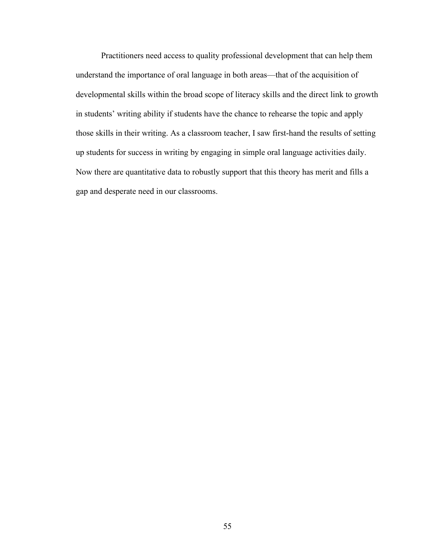Practitioners need access to quality professional development that can help them understand the importance of oral language in both areas––that of the acquisition of developmental skills within the broad scope of literacy skills and the direct link to growth in students' writing ability if students have the chance to rehearse the topic and apply those skills in their writing. As a classroom teacher, I saw first-hand the results of setting up students for success in writing by engaging in simple oral language activities daily. Now there are quantitative data to robustly support that this theory has merit and fills a gap and desperate need in our classrooms.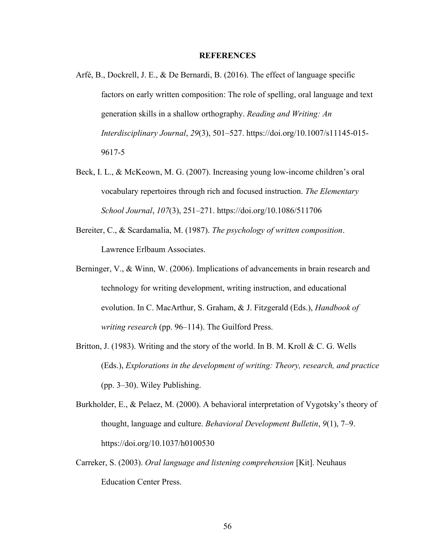### **REFERENCES**

- Arfé, B., Dockrell, J. E., & De Bernardi, B. (2016). The effect of language specific factors on early written composition: The role of spelling, oral language and text generation skills in a shallow orthography. *Reading and Writing: An Interdisciplinary Journal*, *29*(3), 501–527. https://doi.org/10.1007/s11145-015- 9617-5
- Beck, I. L., & McKeown, M. G. (2007). Increasing young low-income children's oral vocabulary repertoires through rich and focused instruction. *The Elementary School Journal*, *107*(3), 251–271. https://doi.org/10.1086/511706
- Bereiter, C., & Scardamalia, M. (1987). *The psychology of written composition*. Lawrence Erlbaum Associates.
- Berninger, V., & Winn, W. (2006). Implications of advancements in brain research and technology for writing development, writing instruction, and educational evolution. In C. MacArthur, S. Graham, & J. Fitzgerald (Eds.), *Handbook of writing research* (pp. 96–114). The Guilford Press.
- Britton, J. (1983). Writing and the story of the world. In B. M. Kroll & C. G. Wells (Eds.), *Explorations in the development of writing: Theory, research, and practice* (pp. 3–30). Wiley Publishing.
- Burkholder, E., & Pelaez, M. (2000). A behavioral interpretation of Vygotsky's theory of thought, language and culture. *Behavioral Development Bulletin*, *9*(1), 7–9. https://doi.org/10.1037/h0100530
- Carreker, S. (2003). *Oral language and listening comprehension* [Kit]. Neuhaus Education Center Press.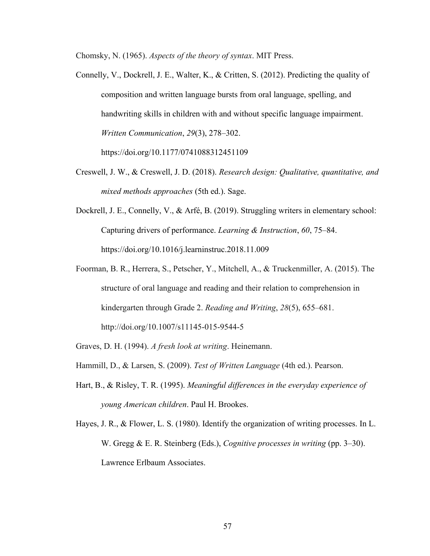Chomsky, N. (1965). *Aspects of the theory of syntax*. MIT Press.

- Connelly, V., Dockrell, J. E., Walter, K., & Critten, S. (2012). Predicting the quality of composition and written language bursts from oral language, spelling, and handwriting skills in children with and without specific language impairment. *Written Communication*, *29*(3), 278–302. https://doi.org/10.1177/0741088312451109
- Creswell, J. W., & Creswell, J. D. (2018). *Research design: Qualitative, quantitative, and mixed methods approaches* (5th ed.). Sage.
- Dockrell, J. E., Connelly, V., & Arfé, B. (2019). Struggling writers in elementary school: Capturing drivers of performance. *Learning & Instruction*, *60*, 75–84. https://doi.org/10.1016/j.learninstruc.2018.11.009
- Foorman, B. R., Herrera, S., Petscher, Y., Mitchell, A., & Truckenmiller, A. (2015). The structure of oral language and reading and their relation to comprehension in kindergarten through Grade 2. *Reading and Writing*, *28*(5), 655–681. http://doi.org/10.1007/s11145-015-9544-5
- Graves, D. H. (1994). *A fresh look at writing*. Heinemann.
- Hammill, D., & Larsen, S. (2009). *Test of Written Language* (4th ed.). Pearson.
- Hart, B., & Risley, T. R. (1995). *Meaningful differences in the everyday experience of young American children*. Paul H. Brookes.
- Hayes, J. R., & Flower, L. S. (1980). Identify the organization of writing processes. In L. W. Gregg & E. R. Steinberg (Eds.), *Cognitive processes in writing* (pp. 3–30). Lawrence Erlbaum Associates.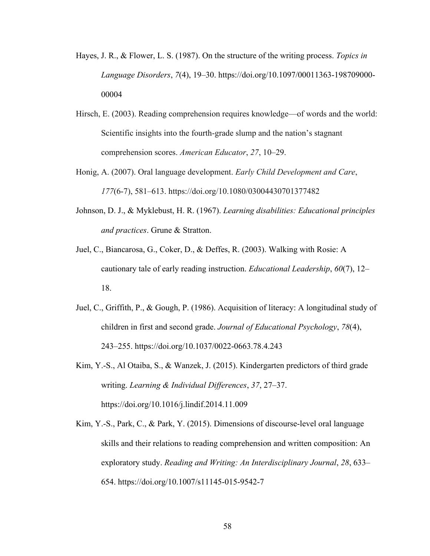- Hayes, J. R., & Flower, L. S. (1987). On the structure of the writing process. *Topics in Language Disorders*, *7*(4), 19–30. https://doi.org/10.1097/00011363-198709000- 00004
- Hirsch, E. (2003). Reading comprehension requires knowledge—of words and the world: Scientific insights into the fourth-grade slump and the nation's stagnant comprehension scores. *American Educator*, *27*, 10–29.
- Honig, A. (2007). Oral language development. *Early Child Development and Care*, *177*(6-7), 581–613. https://doi.org/10.1080/03004430701377482
- Johnson, D. J., & Myklebust, H. R. (1967). *Learning disabilities: Educational principles and practices*. Grune & Stratton.
- Juel, C., Biancarosa, G., Coker, D., & Deffes, R. (2003). Walking with Rosie: A cautionary tale of early reading instruction. *Educational Leadership*, *60*(7), 12– 18.
- Juel, C., Griffith, P., & Gough, P. (1986). Acquisition of literacy: A longitudinal study of children in first and second grade. *Journal of Educational Psychology*, *78*(4), 243–255. https://doi.org/10.1037/0022-0663.78.4.243
- Kim, Y.-S., Al Otaiba, S., & Wanzek, J. (2015). Kindergarten predictors of third grade writing. *Learning & Individual Differences*, *37*, 27–37. https://doi.org/10.1016/j.lindif.2014.11.009
- Kim, Y.-S., Park, C., & Park, Y. (2015). Dimensions of discourse-level oral language skills and their relations to reading comprehension and written composition: An exploratory study. *Reading and Writing: An Interdisciplinary Journal*, *28*, 633– 654. https://doi.org/10.1007/s11145-015-9542-7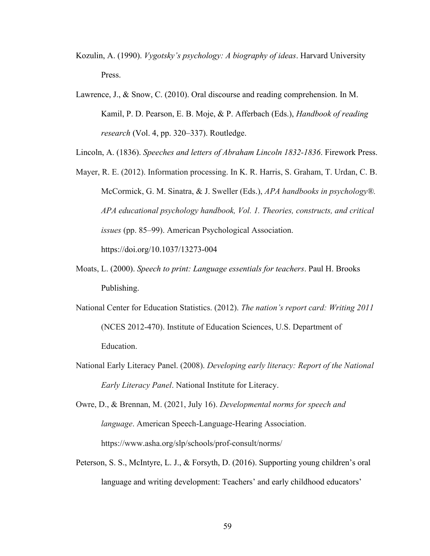- Kozulin, A. (1990). *Vygotsky's psychology: A biography of ideas*. Harvard University Press.
- Lawrence, J., & Snow, C. (2010). Oral discourse and reading comprehension. In M. Kamil, P. D. Pearson, E. B. Moje, & P. Afferbach (Eds.), *Handbook of reading research* (Vol. 4, pp. 320–337). Routledge.

Lincoln, A. (1836). *Speeches and letters of Abraham Lincoln 1832-1836*. Firework Press.

- Mayer, R. E. (2012). Information processing. In K. R. Harris, S. Graham, T. Urdan, C. B. McCormick, G. M. Sinatra, & J. Sweller (Eds.), *APA handbooks in psychology®. APA educational psychology handbook, Vol. 1. Theories, constructs, and critical issues* (pp. 85–99). American Psychological Association. https://doi.org/10.1037/13273-004
- Moats, L. (2000). *Speech to print: Language essentials for teachers*. Paul H. Brooks Publishing.
- National Center for Education Statistics. (2012). *The nation's report card: Writing 2011* (NCES 2012-470). Institute of Education Sciences, U.S. Department of Education.
- National Early Literacy Panel. (2008). *Developing early literacy: Report of the National Early Literacy Panel*. National Institute for Literacy.

Owre, D., & Brennan, M. (2021, July 16). *Developmental norms for speech and language*. American Speech-Language-Hearing Association. https://www.asha.org/slp/schools/prof-consult/norms/

Peterson, S. S., McIntyre, L. J., & Forsyth, D. (2016). Supporting young children's oral language and writing development: Teachers' and early childhood educators'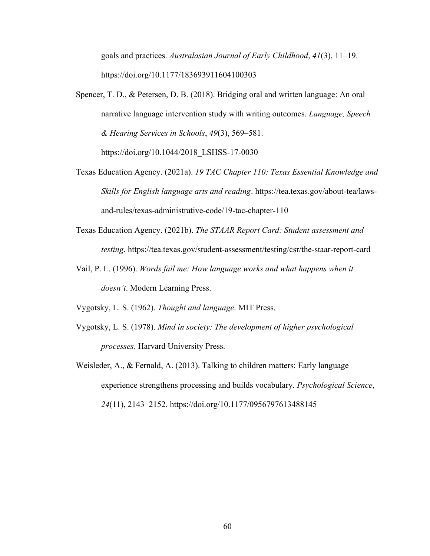goals and practices. *Australasian Journal of Early Childhood*, *41*(3), 11–19. https://doi.org/10.1177/183693911604100303

- Spencer, T. D., & Petersen, D. B. (2018). Bridging oral and written language: An oral narrative language intervention study with writing outcomes. *Language, Speech & Hearing Services in Schools*, *49*(3), 569–581. https://doi.org/10.1044/2018\_LSHSS-17-0030
- Texas Education Agency. (2021a). *19 TAC Chapter 110: Texas Essential Knowledge and Skills for English language arts and reading*. https://tea.texas.gov/about-tea/lawsand-rules/texas-administrative-code/19-tac-chapter-110
- Texas Education Agency. (2021b). *The STAAR Report Card: Student assessment and testing*. https://tea.texas.gov/student-assessment/testing/csr/the-staar-report-card
- Vail, P. L. (1996). *Words fail me: How language works and what happens when it doesn't*. Modern Learning Press.

Vygotsky, L. S. (1962). *Thought and language*. MIT Press.

- Vygotsky, L. S. (1978). *Mind in society: The development of higher psychological processes*. Harvard University Press.
- Weisleder, A., & Fernald, A. (2013). Talking to children matters: Early language experience strengthens processing and builds vocabulary. *Psychological Science*, *24*(11), 2143–2152.<https://doi.org/10.1177/0956797613488145>